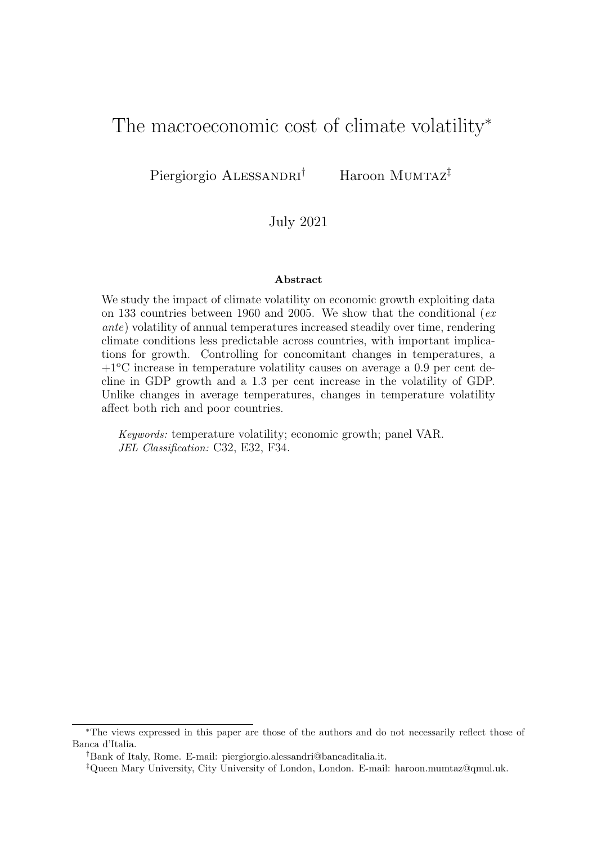# The macroeconomic cost of climate volatility<sup>\*</sup>

Piergiorgio ALESSANDRI<sup>†</sup> Haroon MUMTAZ<sup>‡</sup>

## July 2021

### Abstract

We study the impact of climate volatility on economic growth exploiting data on 133 countries between 1960 and 2005. We show that the conditional ( $ex$ ante) volatility of annual temperatures increased steadily over time, rendering climate conditions less predictable across countries, with important implications for growth. Controlling for concomitant changes in temperatures, a  $+1^{\circ}$ C increase in temperature volatility causes on average a 0.9 per cent decline in GDP growth and a 1.3 per cent increase in the volatility of GDP. Unlike changes in average temperatures, changes in temperature volatility affect both rich and poor countries.

Keywords: temperature volatility; economic growth; panel VAR. JEL Classification: C32, E32, F34.

<sup>∗</sup>The views expressed in this paper are those of the authors and do not necessarily reflect those of Banca d'Italia.

<sup>†</sup>Bank of Italy, Rome. E-mail: piergiorgio.alessandri@bancaditalia.it.

<sup>‡</sup>Queen Mary University, City University of London, London. E-mail: haroon.mumtaz@qmul.uk.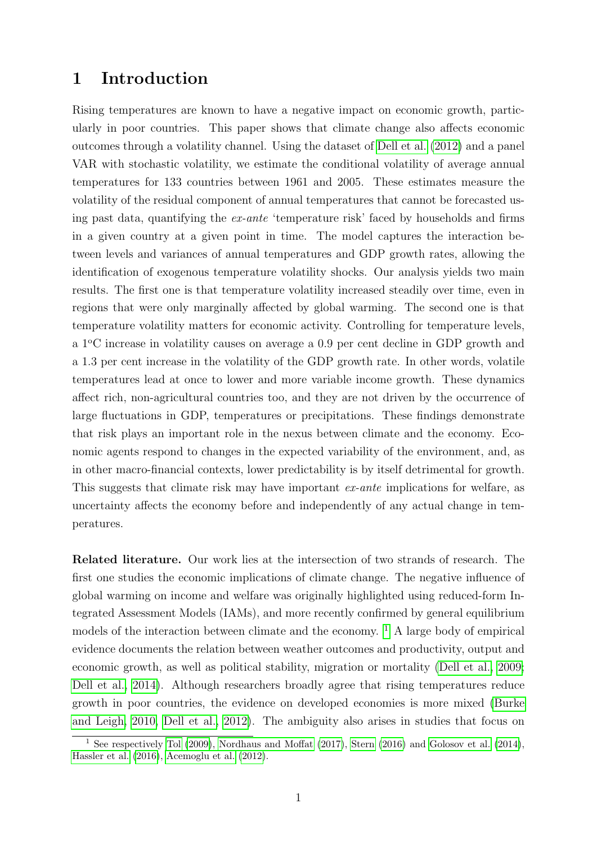# <span id="page-1-1"></span>1 Introduction

Rising temperatures are known to have a negative impact on economic growth, particularly in poor countries. This paper shows that climate change also affects economic outcomes through a volatility channel. Using the dataset of [Dell et al. \(2012\)](#page-13-0) and a panel VAR with stochastic volatility, we estimate the conditional volatility of average annual temperatures for 133 countries between 1961 and 2005. These estimates measure the volatility of the residual component of annual temperatures that cannot be forecasted using past data, quantifying the ex-ante 'temperature risk' faced by households and firms in a given country at a given point in time. The model captures the interaction between levels and variances of annual temperatures and GDP growth rates, allowing the identification of exogenous temperature volatility shocks. Our analysis yields two main results. The first one is that temperature volatility increased steadily over time, even in regions that were only marginally affected by global warming. The second one is that temperature volatility matters for economic activity. Controlling for temperature levels, a <sup>1</sup>°C increase in volatility causes on average a 0.9 per cent decline in GDP growth and a 1.3 per cent increase in the volatility of the GDP growth rate. In other words, volatile temperatures lead at once to lower and more variable income growth. These dynamics affect rich, non-agricultural countries too, and they are not driven by the occurrence of large fluctuations in GDP, temperatures or precipitations. These findings demonstrate that risk plays an important role in the nexus between climate and the economy. Economic agents respond to changes in the expected variability of the environment, and, as in other macro-financial contexts, lower predictability is by itself detrimental for growth. This suggests that climate risk may have important *ex-ante* implications for welfare, as uncertainty affects the economy before and independently of any actual change in temperatures.

Related literature. Our work lies at the intersection of two strands of research. The first one studies the economic implications of climate change. The negative influence of global warming on income and welfare was originally highlighted using reduced-form Integrated Assessment Models (IAMs), and more recently confirmed by general equilibrium models of the interaction between climate and the economy.  $\frac{1}{1}$  $\frac{1}{1}$  $\frac{1}{1}$  A large body of empirical evidence documents the relation between weather outcomes and productivity, output and economic growth, as well as political stability, migration or mortality [\(Dell et al., 2009;](#page-13-1) [Dell et al., 2014\)](#page-13-2). Although researchers broadly agree that rising temperatures reduce growth in poor countries, the evidence on developed economies is more mixed [\(Burke](#page-13-3) [and Leigh, 2010,](#page-13-3) [Dell et al., 2012\)](#page-13-0). The ambiguity also arises in studies that focus on

<span id="page-1-0"></span><sup>&</sup>lt;sup>1</sup> See respectively [Tol](#page-14-0) [\(2009\)](#page-14-0), [Nordhaus and Moffat](#page-14-1) [\(2017\)](#page-14-1), [Stern](#page-14-2) [\(2016\)](#page-14-2) and [Golosov et al.](#page-14-3) [\(2014\)](#page-14-3), [Hassler et al.](#page-14-4) [\(2016\)](#page-14-4), [Acemoglu et al.](#page-13-4) [\(2012\)](#page-13-4).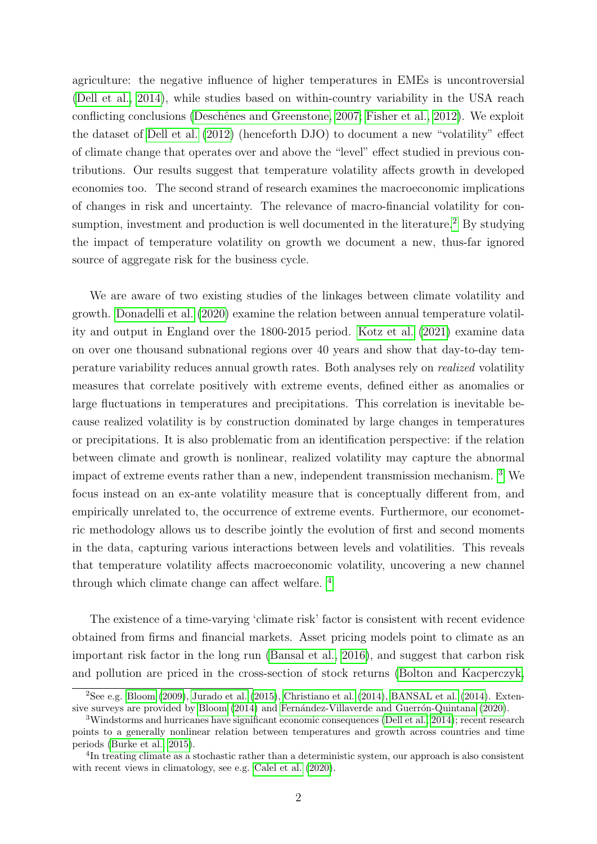agriculture: the negative influence of higher temperatures in EMEs is uncontroversial [\(Dell et al., 2014\)](#page-13-2), while studies based on within-country variability in the USA reach conflicting conclusions (Deschênes and Greenstone, 2007; [Fisher et al., 2012\)](#page-14-6). We exploit the dataset of [Dell et al. \(2012\)](#page-13-0) (henceforth DJO) to document a new "volatility" effect of climate change that operates over and above the "level" effect studied in previous contributions. Our results suggest that temperature volatility affects growth in developed economies too. The second strand of research examines the macroeconomic implications of changes in risk and uncertainty. The relevance of macro-financial volatility for con-sumption, investment and production is well documented in the literature.<sup>[2](#page-2-0)</sup> By studying the impact of temperature volatility on growth we document a new, thus-far ignored source of aggregate risk for the business cycle.

We are aware of two existing studies of the linkages between climate volatility and growth. [Donadelli et al. \(2020\)](#page-14-7) examine the relation between annual temperature volatility and output in England over the 1800-2015 period. [Kotz et al. \(2021\)](#page-14-8) examine data on over one thousand subnational regions over 40 years and show that day-to-day temperature variability reduces annual growth rates. Both analyses rely on realized volatility measures that correlate positively with extreme events, defined either as anomalies or large fluctuations in temperatures and precipitations. This correlation is inevitable because realized volatility is by construction dominated by large changes in temperatures or precipitations. It is also problematic from an identification perspective: if the relation between climate and growth is nonlinear, realized volatility may capture the abnormal impact of extreme events rather than a new, independent transmission mechanism. [3](#page-2-1) We focus instead on an ex-ante volatility measure that is conceptually different from, and empirically unrelated to, the occurrence of extreme events. Furthermore, our econometric methodology allows us to describe jointly the evolution of first and second moments in the data, capturing various interactions between levels and volatilities. This reveals that temperature volatility affects macroeconomic volatility, uncovering a new channel through which climate change can affect welfare. [4](#page-2-2)

The existence of a time-varying 'climate risk' factor is consistent with recent evidence obtained from firms and financial markets. Asset pricing models point to climate as an important risk factor in the long run [\(Bansal et al., 2016\)](#page-13-5), and suggest that carbon risk and pollution are priced in the cross-section of stock returns [\(Bolton and Kacperczyk,](#page-13-6)

<span id="page-2-0"></span> $2$ See e.g. [Bloom](#page-13-7) [\(2009\)](#page-13-7), [Jurado et al.](#page-14-9) [\(2015\)](#page-14-9), [Christiano et al.](#page-13-8) [\(2014\)](#page-13-9), [BANSAL et al.](#page-13-9) (2014). Exten-sive surveys are provided by [Bloom](#page-13-10) [\(2014\)](#page-13-10) and Fernández-Villaverde and Guerrón-Quintana [\(2020\)](#page-14-10).

<span id="page-2-1"></span><sup>3</sup>Windstorms and hurricanes have significant economic consequences [\(Dell et al., 2014\)](#page-13-2); recent research points to a generally nonlinear relation between temperatures and growth across countries and time periods [\(Burke et al., 2015\)](#page-13-11).

<span id="page-2-2"></span><sup>&</sup>lt;sup>4</sup>In treating climate as a stochastic rather than a deterministic system, our approach is also consistent with recent views in climatology, see e.g. [Calel et al.](#page-13-12)  $(2020)$ .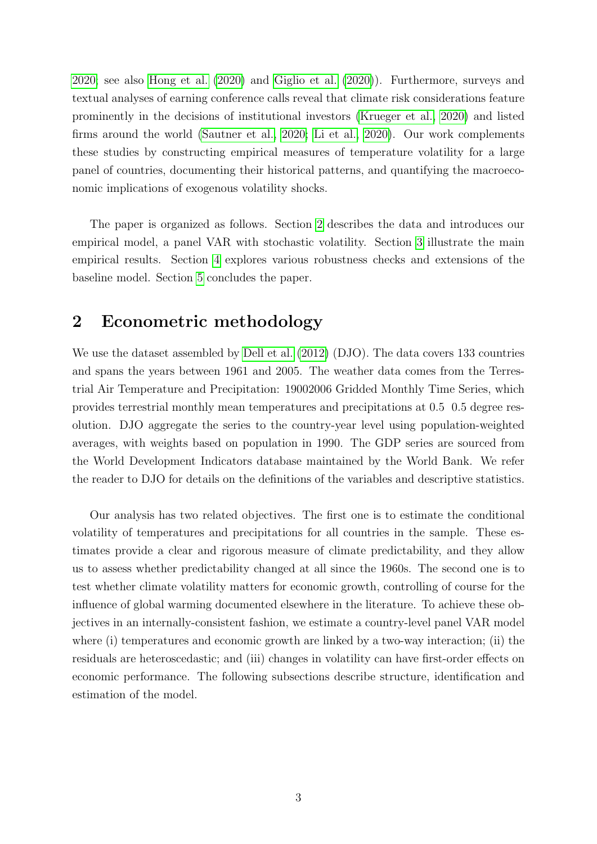[2020;](#page-13-6) see also [Hong et al. \(2020\)](#page-14-11) and [Giglio et al. \(2020\)](#page-14-12)). Furthermore, surveys and textual analyses of earning conference calls reveal that climate risk considerations feature prominently in the decisions of institutional investors [\(Krueger et al., 2020\)](#page-14-13) and listed firms around the world [\(Sautner et al., 2020;](#page-14-14) [Li et al., 2020\)](#page-14-15). Our work complements these studies by constructing empirical measures of temperature volatility for a large panel of countries, documenting their historical patterns, and quantifying the macroeconomic implications of exogenous volatility shocks.

The paper is organized as follows. Section [2](#page-3-0) describes the data and introduces our empirical model, a panel VAR with stochastic volatility. Section [3](#page-6-0) illustrate the main empirical results. Section [4](#page-9-0) explores various robustness checks and extensions of the baseline model. Section [5](#page-12-0) concludes the paper.

## <span id="page-3-0"></span>2 Econometric methodology

We use the dataset assembled by [Dell et al. \(2012\)](#page-13-0) (DJO). The data covers 133 countries and spans the years between 1961 and 2005. The weather data comes from the Terrestrial Air Temperature and Precipitation: 19002006 Gridded Monthly Time Series, which provides terrestrial monthly mean temperatures and precipitations at 0.5 0.5 degree resolution. DJO aggregate the series to the country-year level using population-weighted averages, with weights based on population in 1990. The GDP series are sourced from the World Development Indicators database maintained by the World Bank. We refer the reader to DJO for details on the definitions of the variables and descriptive statistics.

Our analysis has two related objectives. The first one is to estimate the conditional volatility of temperatures and precipitations for all countries in the sample. These estimates provide a clear and rigorous measure of climate predictability, and they allow us to assess whether predictability changed at all since the 1960s. The second one is to test whether climate volatility matters for economic growth, controlling of course for the influence of global warming documented elsewhere in the literature. To achieve these objectives in an internally-consistent fashion, we estimate a country-level panel VAR model where (i) temperatures and economic growth are linked by a two-way interaction; (ii) the residuals are heteroscedastic; and (iii) changes in volatility can have first-order effects on economic performance. The following subsections describe structure, identification and estimation of the model.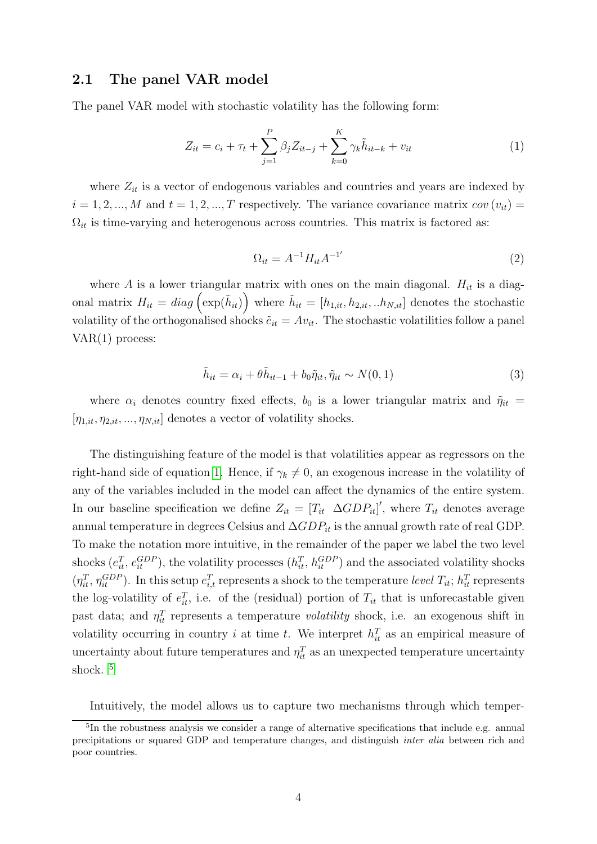### 2.1 The panel VAR model

The panel VAR model with stochastic volatility has the following form:

<span id="page-4-0"></span>
$$
Z_{it} = c_i + \tau_t + \sum_{j=1}^{P} \beta_j Z_{it-j} + \sum_{k=0}^{K} \gamma_k \tilde{h}_{it-k} + v_{it}
$$
 (1)

where  $Z_{it}$  is a vector of endogenous variables and countries and years are indexed by  $i = 1, 2, ..., M$  and  $t = 1, 2, ..., T$  respectively. The variance covariance matrix  $cov(v_{it}) =$  $\Omega_{it}$  is time-varying and heterogenous across countries. This matrix is factored as:

$$
\Omega_{it} = A^{-1} H_{it} A^{-1'}
$$
\n(2)

where A is a lower triangular matrix with ones on the main diagonal.  $H_{it}$  is a diagonal matrix  $H_{it} = diag\left(\exp(\tilde{h}_{it})\right)$  where  $\tilde{h}_{it} = [h_{1,it}, h_{2,it}, ...h_{N,it}]$  denotes the stochastic volatility of the orthogonalised shocks  $\tilde{e}_{it} = Av_{it}$ . The stochastic volatilities follow a panel VAR(1) process:

$$
\tilde{h}_{it} = \alpha_i + \theta \tilde{h}_{it-1} + b_0 \tilde{\eta}_{it}, \tilde{\eta}_{it} \sim N(0, 1)
$$
\n(3)

where  $\alpha_i$  denotes country fixed effects,  $b_0$  is a lower triangular matrix and  $\tilde{\eta}_{it}$  =  $[\eta_{1,it}, \eta_{2,it}, ..., \eta_{N,it}]$  denotes a vector of volatility shocks.

The distinguishing feature of the model is that volatilities appear as regressors on the right-hand side of equation [1.](#page-4-0) Hence, if  $\gamma_k \neq 0$ , an exogenous increase in the volatility of any of the variables included in the model can affect the dynamics of the entire system. In our baseline specification we define  $Z_{it} = [T_{it} \ \Delta GDP_{it}]'$ , where  $T_{it}$  denotes average annual temperature in degrees Celsius and  $\Delta GDP_{it}$  is the annual growth rate of real GDP. To make the notation more intuitive, in the remainder of the paper we label the two level shocks  $(e_{it}^T, e_{it}^{GDP})$ , the volatility processes  $(h_{it}^T, h_{it}^{GDP})$  and the associated volatility shocks  $(\eta_{it}^T, \eta_{it}^{GDP})$ . In this setup  $e_{i,t}^T$  represents a shock to the temperature level  $T_{it}$ ;  $h_{it}^T$  represents the log-volatility of  $e_{it}^T$ , i.e. of the (residual) portion of  $T_{it}$  that is unforecastable given past data; and  $\eta_{it}^T$  represents a temperature volatility shock, i.e. an exogenous shift in volatility occurring in country i at time t. We interpret  $h_{it}^T$  as an empirical measure of uncertainty about future temperatures and  $\eta_{it}^T$  as an unexpected temperature uncertainty shock.<sup>[5](#page-4-1)</sup>

<span id="page-4-1"></span>Intuitively, the model allows us to capture two mechanisms through which temper-

<sup>&</sup>lt;sup>5</sup>In the robustness analysis we consider a range of alternative specifications that include e.g. annual precipitations or squared GDP and temperature changes, and distinguish inter alia between rich and poor countries.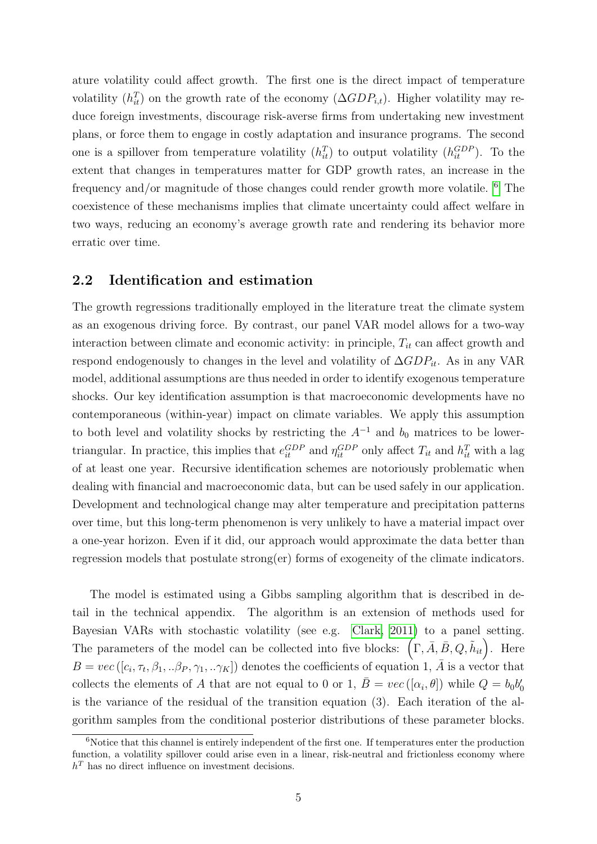ature volatility could affect growth. The first one is the direct impact of temperature volatility  $(h_{it}^T)$  on the growth rate of the economy  $(\Delta GDP_{i,t})$ . Higher volatility may reduce foreign investments, discourage risk-averse firms from undertaking new investment plans, or force them to engage in costly adaptation and insurance programs. The second one is a spillover from temperature volatility  $(h_{it}^T)$  to output volatility  $(h_{it}^{GDP})$ . To the extent that changes in temperatures matter for GDP growth rates, an increase in the frequency and/or magnitude of those changes could render growth more volatile. [6](#page-5-0) The coexistence of these mechanisms implies that climate uncertainty could affect welfare in two ways, reducing an economy's average growth rate and rendering its behavior more erratic over time.

### 2.2 Identification and estimation

The growth regressions traditionally employed in the literature treat the climate system as an exogenous driving force. By contrast, our panel VAR model allows for a two-way interaction between climate and economic activity: in principle,  $T_{it}$  can affect growth and respond endogenously to changes in the level and volatility of  $\Delta GDP_{it}$ . As in any VAR model, additional assumptions are thus needed in order to identify exogenous temperature shocks. Our key identification assumption is that macroeconomic developments have no contemporaneous (within-year) impact on climate variables. We apply this assumption to both level and volatility shocks by restricting the  $A^{-1}$  and  $b_0$  matrices to be lowertriangular. In practice, this implies that  $e_{it}^{GDP}$  and  $\eta_{it}^{GDP}$  only affect  $T_{it}$  and  $h_{it}^T$  with a lag of at least one year. Recursive identification schemes are notoriously problematic when dealing with financial and macroeconomic data, but can be used safely in our application. Development and technological change may alter temperature and precipitation patterns over time, but this long-term phenomenon is very unlikely to have a material impact over a one-year horizon. Even if it did, our approach would approximate the data better than regression models that postulate strong(er) forms of exogeneity of the climate indicators.

The model is estimated using a Gibbs sampling algorithm that is described in detail in the technical appendix. The algorithm is an extension of methods used for Bayesian VARs with stochastic volatility (see e.g. [Clark, 2011\)](#page-13-13) to a panel setting. The parameters of the model can be collected into five blocks:  $(\Gamma, \overline{A}, \overline{B}, Q, \tilde{h}_{it})$ . Here  $B = vec([c_i, \tau_t, \beta_1, \ldots, \beta_P, \gamma_1, \ldots \gamma_K])$  denotes the coefficients of equation 1,  $\overline{A}$  is a vector that collects the elements of A that are not equal to 0 or 1,  $\overline{B} = vec([\alpha_i, \theta])$  while  $Q = b_0 b_0'$ is the variance of the residual of the transition equation (3). Each iteration of the algorithm samples from the conditional posterior distributions of these parameter blocks.

<span id="page-5-0"></span> $6N$ otice that this channel is entirely independent of the first one. If temperatures enter the production function, a volatility spillover could arise even in a linear, risk-neutral and frictionless economy where  $h<sup>T</sup>$  has no direct influence on investment decisions.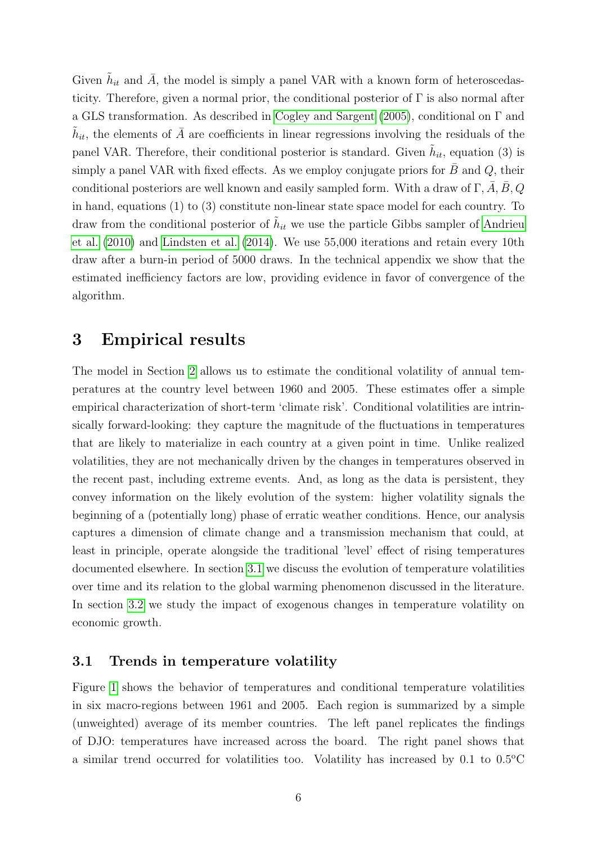Given  $\tilde{h}_{it}$  and  $\bar{A}$ , the model is simply a panel VAR with a known form of heteroscedasticity. Therefore, given a normal prior, the conditional posterior of  $\Gamma$  is also normal after a GLS transformation. As described in [Cogley and Sargent \(2005\)](#page-13-14), conditional on Γ and  $\tilde{h}_{it}$ , the elements of  $\bar{A}$  are coefficients in linear regressions involving the residuals of the panel VAR. Therefore, their conditional posterior is standard. Given  $\tilde{h}_{it}$ , equation (3) is simply a panel VAR with fixed effects. As we employ conjugate priors for  $B$  and  $Q$ , their conditional posteriors are well known and easily sampled form. With a draw of  $\Gamma$ , A, B, Q in hand, equations (1) to (3) constitute non-linear state space model for each country. To draw from the conditional posterior of  $\tilde{h}_{it}$  we use the particle Gibbs sampler of [Andrieu](#page-13-15) [et al. \(2010\)](#page-13-15) and [Lindsten et al. \(2014\)](#page-14-16). We use 55,000 iterations and retain every 10th draw after a burn-in period of 5000 draws. In the technical appendix we show that the estimated inefficiency factors are low, providing evidence in favor of convergence of the algorithm.

## <span id="page-6-0"></span>3 Empirical results

The model in Section [2](#page-3-0) allows us to estimate the conditional volatility of annual temperatures at the country level between 1960 and 2005. These estimates offer a simple empirical characterization of short-term 'climate risk'. Conditional volatilities are intrinsically forward-looking: they capture the magnitude of the fluctuations in temperatures that are likely to materialize in each country at a given point in time. Unlike realized volatilities, they are not mechanically driven by the changes in temperatures observed in the recent past, including extreme events. And, as long as the data is persistent, they convey information on the likely evolution of the system: higher volatility signals the beginning of a (potentially long) phase of erratic weather conditions. Hence, our analysis captures a dimension of climate change and a transmission mechanism that could, at least in principle, operate alongside the traditional 'level' effect of rising temperatures documented elsewhere. In section [3.1](#page-6-1) we discuss the evolution of temperature volatilities over time and its relation to the global warming phenomenon discussed in the literature. In section [3.2](#page-8-0) we study the impact of exogenous changes in temperature volatility on economic growth.

### <span id="page-6-1"></span>3.1 Trends in temperature volatility

Figure [1](#page-17-0) shows the behavior of temperatures and conditional temperature volatilities in six macro-regions between 1961 and 2005. Each region is summarized by a simple (unweighted) average of its member countries. The left panel replicates the findings of DJO: temperatures have increased across the board. The right panel shows that a similar trend occurred for volatilities too. Volatility has increased by  $0.1$  to  $0.5^{\circ}$ C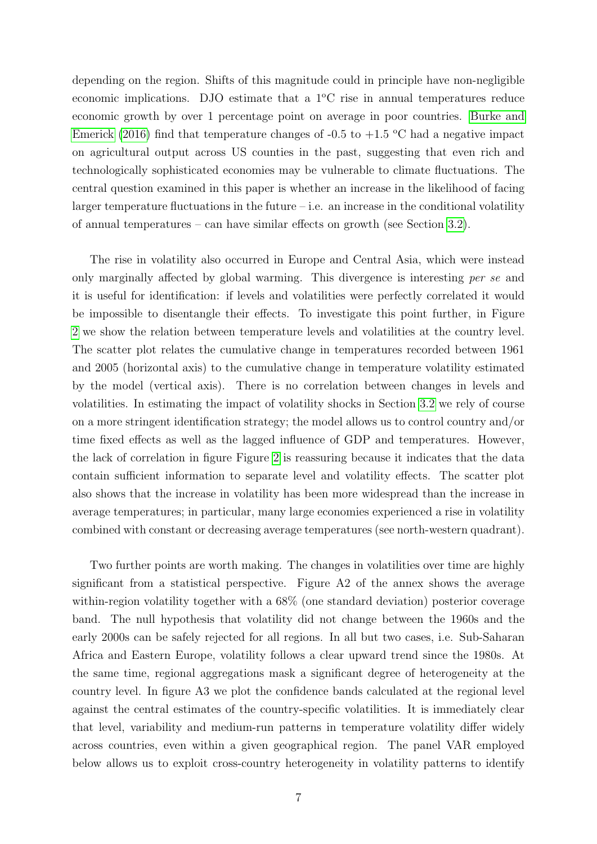depending on the region. Shifts of this magnitude could in principle have non-negligible economic implications. DJO estimate that a  $1^{\circ}$ C rise in annual temperatures reduce economic growth by over 1 percentage point on average in poor countries. [Burke and](#page-13-16) [Emerick \(2016\)](#page-13-16) find that temperature changes of -0.5 to  $+1.5$  °C had a negative impact on agricultural output across US counties in the past, suggesting that even rich and technologically sophisticated economies may be vulnerable to climate fluctuations. The central question examined in this paper is whether an increase in the likelihood of facing larger temperature fluctuations in the future – i.e. an increase in the conditional volatility of annual temperatures – can have similar effects on growth (see Section [3.2\)](#page-8-0).

The rise in volatility also occurred in Europe and Central Asia, which were instead only marginally affected by global warming. This divergence is interesting per se and it is useful for identification: if levels and volatilities were perfectly correlated it would be impossible to disentangle their effects. To investigate this point further, in Figure [2](#page-18-0) we show the relation between temperature levels and volatilities at the country level. The scatter plot relates the cumulative change in temperatures recorded between 1961 and 2005 (horizontal axis) to the cumulative change in temperature volatility estimated by the model (vertical axis). There is no correlation between changes in levels and volatilities. In estimating the impact of volatility shocks in Section [3.2](#page-8-0) we rely of course on a more stringent identification strategy; the model allows us to control country and/or time fixed effects as well as the lagged influence of GDP and temperatures. However, the lack of correlation in figure Figure [2](#page-18-0) is reassuring because it indicates that the data contain sufficient information to separate level and volatility effects. The scatter plot also shows that the increase in volatility has been more widespread than the increase in average temperatures; in particular, many large economies experienced a rise in volatility combined with constant or decreasing average temperatures (see north-western quadrant).

Two further points are worth making. The changes in volatilities over time are highly significant from a statistical perspective. Figure A2 of the annex shows the average within-region volatility together with a 68% (one standard deviation) posterior coverage band. The null hypothesis that volatility did not change between the 1960s and the early 2000s can be safely rejected for all regions. In all but two cases, i.e. Sub-Saharan Africa and Eastern Europe, volatility follows a clear upward trend since the 1980s. At the same time, regional aggregations mask a significant degree of heterogeneity at the country level. In figure A3 we plot the confidence bands calculated at the regional level against the central estimates of the country-specific volatilities. It is immediately clear that level, variability and medium-run patterns in temperature volatility differ widely across countries, even within a given geographical region. The panel VAR employed below allows us to exploit cross-country heterogeneity in volatility patterns to identify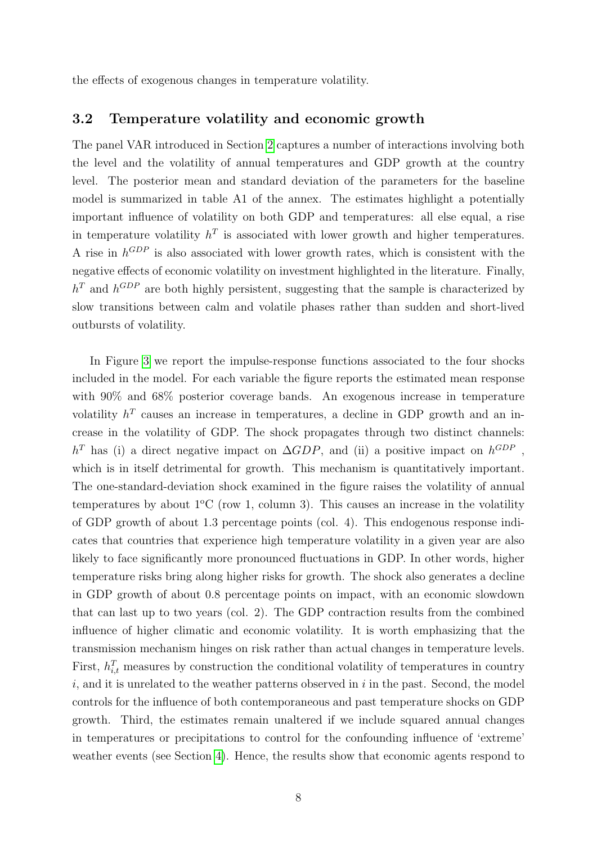the effects of exogenous changes in temperature volatility.

### <span id="page-8-0"></span>3.2 Temperature volatility and economic growth

The panel VAR introduced in Section [2](#page-3-0) captures a number of interactions involving both the level and the volatility of annual temperatures and GDP growth at the country level. The posterior mean and standard deviation of the parameters for the baseline model is summarized in table A1 of the annex. The estimates highlight a potentially important influence of volatility on both GDP and temperatures: all else equal, a rise in temperature volatility  $h^T$  is associated with lower growth and higher temperatures. A rise in  $h^{GDP}$  is also associated with lower growth rates, which is consistent with the negative effects of economic volatility on investment highlighted in the literature. Finally,  $h<sup>T</sup>$  and  $h<sup>GDP</sup>$  are both highly persistent, suggesting that the sample is characterized by slow transitions between calm and volatile phases rather than sudden and short-lived outbursts of volatility.

In Figure [3](#page-19-0) we report the impulse-response functions associated to the four shocks included in the model. For each variable the figure reports the estimated mean response with  $90\%$  and  $68\%$  posterior coverage bands. An exogenous increase in temperature volatility  $h^T$  causes an increase in temperatures, a decline in GDP growth and an increase in the volatility of GDP. The shock propagates through two distinct channels:  $h^T$  has (i) a direct negative impact on  $\Delta GDP$ , and (ii) a positive impact on  $h^{GDP}$ , which is in itself detrimental for growth. This mechanism is quantitatively important. The one-standard-deviation shock examined in the figure raises the volatility of annual temperatures by about  $1^{\circ}$ C (row 1, column 3). This causes an increase in the volatility of GDP growth of about 1.3 percentage points (col. 4). This endogenous response indicates that countries that experience high temperature volatility in a given year are also likely to face significantly more pronounced fluctuations in GDP. In other words, higher temperature risks bring along higher risks for growth. The shock also generates a decline in GDP growth of about 0.8 percentage points on impact, with an economic slowdown that can last up to two years (col. 2). The GDP contraction results from the combined influence of higher climatic and economic volatility. It is worth emphasizing that the transmission mechanism hinges on risk rather than actual changes in temperature levels. First,  $h_{i,t}^T$  measures by construction the conditional volatility of temperatures in country  $i$ , and it is unrelated to the weather patterns observed in  $i$  in the past. Second, the model controls for the influence of both contemporaneous and past temperature shocks on GDP growth. Third, the estimates remain unaltered if we include squared annual changes in temperatures or precipitations to control for the confounding influence of 'extreme' weather events (see Section [4\)](#page-9-0). Hence, the results show that economic agents respond to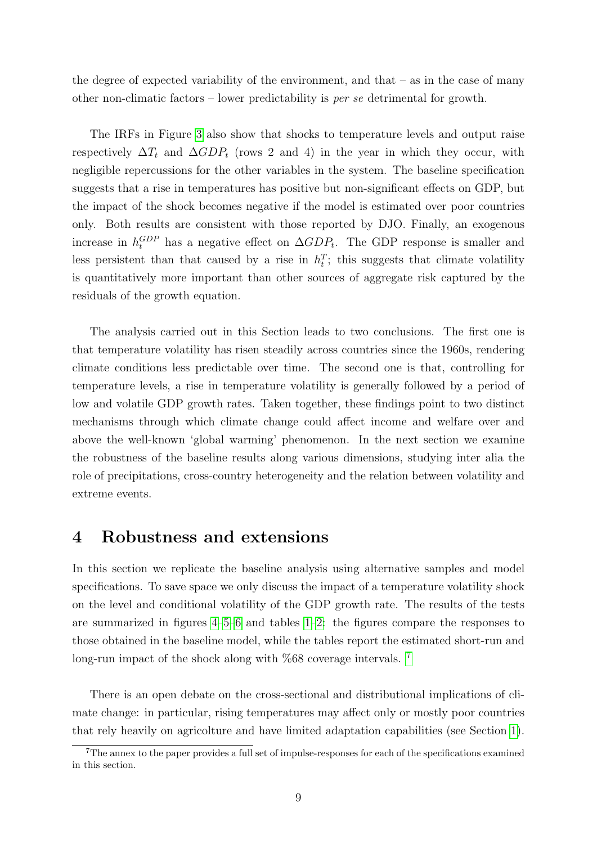the degree of expected variability of the environment, and that  $-$  as in the case of many other non-climatic factors – lower predictability is per se detrimental for growth.

The IRFs in Figure [3](#page-19-0) also show that shocks to temperature levels and output raise respectively  $\Delta T_t$  and  $\Delta GDP_t$  (rows 2 and 4) in the year in which they occur, with negligible repercussions for the other variables in the system. The baseline specification suggests that a rise in temperatures has positive but non-significant effects on GDP, but the impact of the shock becomes negative if the model is estimated over poor countries only. Both results are consistent with those reported by DJO. Finally, an exogenous increase in  $h_t^{GDP}$  has a negative effect on  $\Delta GDP_t$ . The GDP response is smaller and less persistent than that caused by a rise in  $h_t^T$ ; this suggests that climate volatility is quantitatively more important than other sources of aggregate risk captured by the residuals of the growth equation.

The analysis carried out in this Section leads to two conclusions. The first one is that temperature volatility has risen steadily across countries since the 1960s, rendering climate conditions less predictable over time. The second one is that, controlling for temperature levels, a rise in temperature volatility is generally followed by a period of low and volatile GDP growth rates. Taken together, these findings point to two distinct mechanisms through which climate change could affect income and welfare over and above the well-known 'global warming' phenomenon. In the next section we examine the robustness of the baseline results along various dimensions, studying inter alia the role of precipitations, cross-country heterogeneity and the relation between volatility and extreme events.

# <span id="page-9-0"></span>4 Robustness and extensions

In this section we replicate the baseline analysis using alternative samples and model specifications. To save space we only discuss the impact of a temperature volatility shock on the level and conditional volatility of the GDP growth rate. The results of the tests are summarized in figures [4–](#page-20-0)[5–](#page-20-1)[6](#page-21-0) and tables [1–](#page-15-0)[2:](#page-16-0) the figures compare the responses to those obtained in the baseline model, while the tables report the estimated short-run and long-run impact of the shock along with %68 coverage intervals. <sup>[7](#page-9-1)</sup>

There is an open debate on the cross-sectional and distributional implications of climate change: in particular, rising temperatures may affect only or mostly poor countries that rely heavily on agricolture and have limited adaptation capabilities (see Section [1\)](#page-1-1).

<span id="page-9-1"></span><sup>7</sup>The annex to the paper provides a full set of impulse-responses for each of the specifications examined in this section.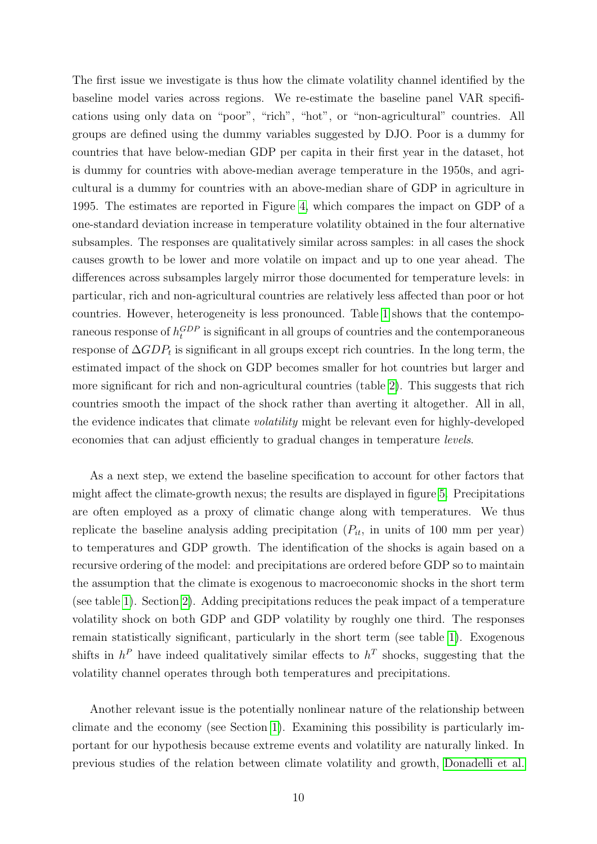The first issue we investigate is thus how the climate volatility channel identified by the baseline model varies across regions. We re-estimate the baseline panel VAR specifications using only data on "poor", "rich", "hot", or "non-agricultural" countries. All groups are defined using the dummy variables suggested by DJO. Poor is a dummy for countries that have below-median GDP per capita in their first year in the dataset, hot is dummy for countries with above-median average temperature in the 1950s, and agricultural is a dummy for countries with an above-median share of GDP in agriculture in 1995. The estimates are reported in Figure [4,](#page-20-0) which compares the impact on GDP of a one-standard deviation increase in temperature volatility obtained in the four alternative subsamples. The responses are qualitatively similar across samples: in all cases the shock causes growth to be lower and more volatile on impact and up to one year ahead. The differences across subsamples largely mirror those documented for temperature levels: in particular, rich and non-agricultural countries are relatively less affected than poor or hot countries. However, heterogeneity is less pronounced. Table [1](#page-15-0) shows that the contemporaneous response of  $h_t^{GDP}$  is significant in all groups of countries and the contemporaneous response of  $\Delta GDP_t$  is significant in all groups except rich countries. In the long term, the estimated impact of the shock on GDP becomes smaller for hot countries but larger and more significant for rich and non-agricultural countries (table [2\)](#page-16-0). This suggests that rich countries smooth the impact of the shock rather than averting it altogether. All in all, the evidence indicates that climate volatility might be relevant even for highly-developed economies that can adjust efficiently to gradual changes in temperature levels.

As a next step, we extend the baseline specification to account for other factors that might affect the climate-growth nexus; the results are displayed in figure [5.](#page-20-1) Precipitations are often employed as a proxy of climatic change along with temperatures. We thus replicate the baseline analysis adding precipitation  $(P_{it},$  in units of 100 mm per year) to temperatures and GDP growth. The identification of the shocks is again based on a recursive ordering of the model: and precipitations are ordered before GDP so to maintain the assumption that the climate is exogenous to macroeconomic shocks in the short term (see table [1\)](#page-15-0). Section [2\)](#page-3-0). Adding precipitations reduces the peak impact of a temperature volatility shock on both GDP and GDP volatility by roughly one third. The responses remain statistically significant, particularly in the short term (see table [1\)](#page-15-0). Exogenous shifts in  $h^P$  have indeed qualitatively similar effects to  $h^T$  shocks, suggesting that the volatility channel operates through both temperatures and precipitations.

Another relevant issue is the potentially nonlinear nature of the relationship between climate and the economy (see Section [1\)](#page-1-1). Examining this possibility is particularly important for our hypothesis because extreme events and volatility are naturally linked. In previous studies of the relation between climate volatility and growth, [Donadelli et al.](#page-14-7)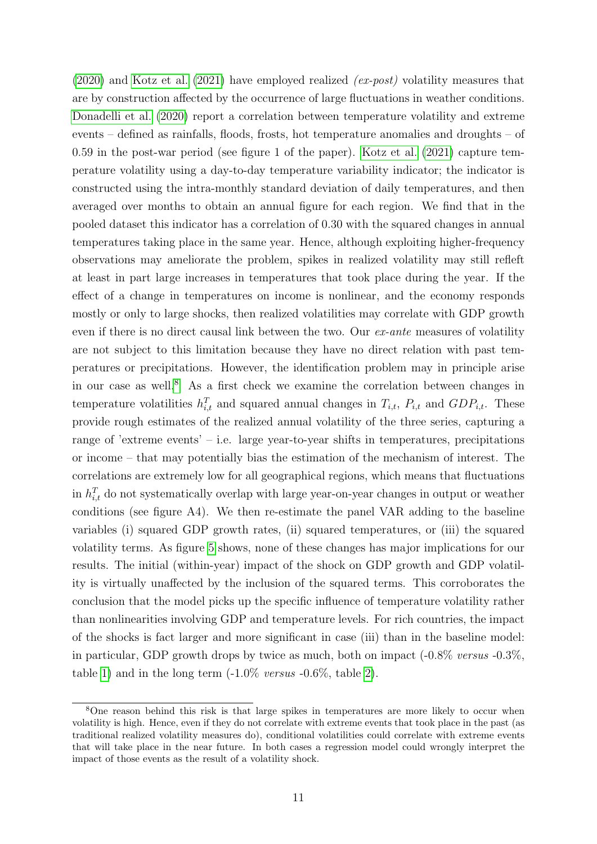[\(2020\)](#page-14-7) and [Kotz et al. \(2021\)](#page-14-8) have employed realized (ex-post) volatility measures that are by construction affected by the occurrence of large fluctuations in weather conditions. [Donadelli et al. \(2020\)](#page-14-7) report a correlation between temperature volatility and extreme events – defined as rainfalls, floods, frosts, hot temperature anomalies and droughts – of 0.59 in the post-war period (see figure 1 of the paper). [Kotz et al. \(2021\)](#page-14-8) capture temperature volatility using a day-to-day temperature variability indicator; the indicator is constructed using the intra-monthly standard deviation of daily temperatures, and then averaged over months to obtain an annual figure for each region. We find that in the pooled dataset this indicator has a correlation of 0.30 with the squared changes in annual temperatures taking place in the same year. Hence, although exploiting higher-frequency observations may ameliorate the problem, spikes in realized volatility may still refleft at least in part large increases in temperatures that took place during the year. If the effect of a change in temperatures on income is nonlinear, and the economy responds mostly or only to large shocks, then realized volatilities may correlate with GDP growth even if there is no direct causal link between the two. Our ex-ante measures of volatility are not subject to this limitation because they have no direct relation with past temperatures or precipitations. However, the identification problem may in principle arise in our case as well.<sup>[8](#page-11-0)</sup> As a first check we examine the correlation between changes in temperature volatilities  $h_{i,t}^T$  and squared annual changes in  $T_{i,t}$ ,  $P_{i,t}$  and  $GDP_{i,t}$ . These provide rough estimates of the realized annual volatility of the three series, capturing a range of 'extreme events' – i.e. large year-to-year shifts in temperatures, precipitations or income – that may potentially bias the estimation of the mechanism of interest. The correlations are extremely low for all geographical regions, which means that fluctuations in  $h_{i,t}^T$  do not systematically overlap with large year-on-year changes in output or weather conditions (see figure A4). We then re-estimate the panel VAR adding to the baseline variables (i) squared GDP growth rates, (ii) squared temperatures, or (iii) the squared volatility terms. As figure [5](#page-20-1) shows, none of these changes has major implications for our results. The initial (within-year) impact of the shock on GDP growth and GDP volatility is virtually unaffected by the inclusion of the squared terms. This corroborates the conclusion that the model picks up the specific influence of temperature volatility rather than nonlinearities involving GDP and temperature levels. For rich countries, the impact of the shocks is fact larger and more significant in case (iii) than in the baseline model: in particular, GDP growth drops by twice as much, both on impact  $(-0.8\% \text{ versus } -0.3\%$ , table [1\)](#page-15-0) and in the long term  $(-1.0\% \text{ versus } -0.6\%, \text{ table } 2)$  $(-1.0\% \text{ versus } -0.6\%, \text{ table } 2)$ .

<span id="page-11-0"></span><sup>8</sup>One reason behind this risk is that large spikes in temperatures are more likely to occur when volatility is high. Hence, even if they do not correlate with extreme events that took place in the past (as traditional realized volatility measures do), conditional volatilities could correlate with extreme events that will take place in the near future. In both cases a regression model could wrongly interpret the impact of those events as the result of a volatility shock.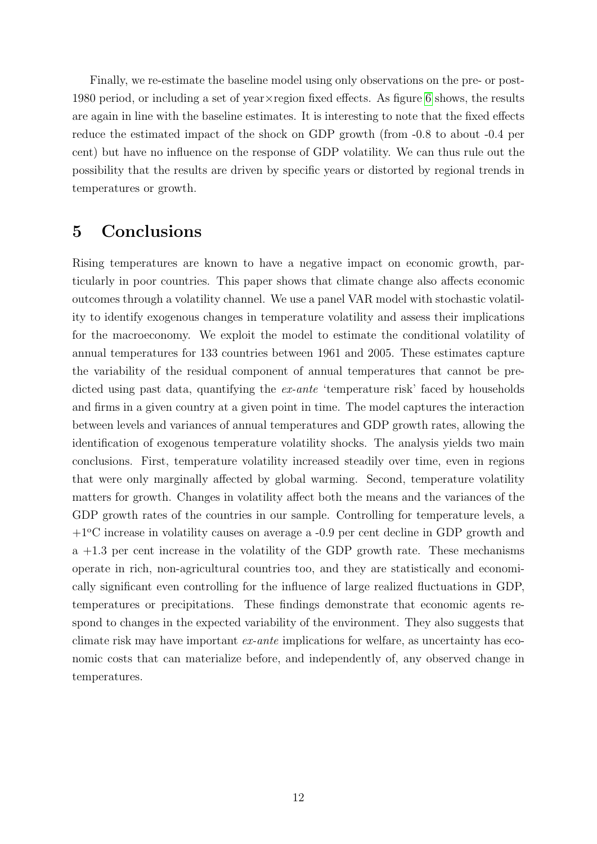Finally, we re-estimate the baseline model using only observations on the pre- or post-1980 period, or including a set of year×region fixed effects. As figure [6](#page-21-0) shows, the results are again in line with the baseline estimates. It is interesting to note that the fixed effects reduce the estimated impact of the shock on GDP growth (from -0.8 to about -0.4 per cent) but have no influence on the response of GDP volatility. We can thus rule out the possibility that the results are driven by specific years or distorted by regional trends in temperatures or growth.

## <span id="page-12-0"></span>5 Conclusions

Rising temperatures are known to have a negative impact on economic growth, particularly in poor countries. This paper shows that climate change also affects economic outcomes through a volatility channel. We use a panel VAR model with stochastic volatility to identify exogenous changes in temperature volatility and assess their implications for the macroeconomy. We exploit the model to estimate the conditional volatility of annual temperatures for 133 countries between 1961 and 2005. These estimates capture the variability of the residual component of annual temperatures that cannot be predicted using past data, quantifying the *ex-ante* 'temperature risk' faced by households and firms in a given country at a given point in time. The model captures the interaction between levels and variances of annual temperatures and GDP growth rates, allowing the identification of exogenous temperature volatility shocks. The analysis yields two main conclusions. First, temperature volatility increased steadily over time, even in regions that were only marginally affected by global warming. Second, temperature volatility matters for growth. Changes in volatility affect both the means and the variances of the GDP growth rates of the countries in our sample. Controlling for temperature levels, a  $+1^{\circ}$ C increase in volatility causes on average a  $-0.9$  per cent decline in GDP growth and a +1.3 per cent increase in the volatility of the GDP growth rate. These mechanisms operate in rich, non-agricultural countries too, and they are statistically and economically significant even controlling for the influence of large realized fluctuations in GDP, temperatures or precipitations. These findings demonstrate that economic agents respond to changes in the expected variability of the environment. They also suggests that climate risk may have important ex-ante implications for welfare, as uncertainty has economic costs that can materialize before, and independently of, any observed change in temperatures.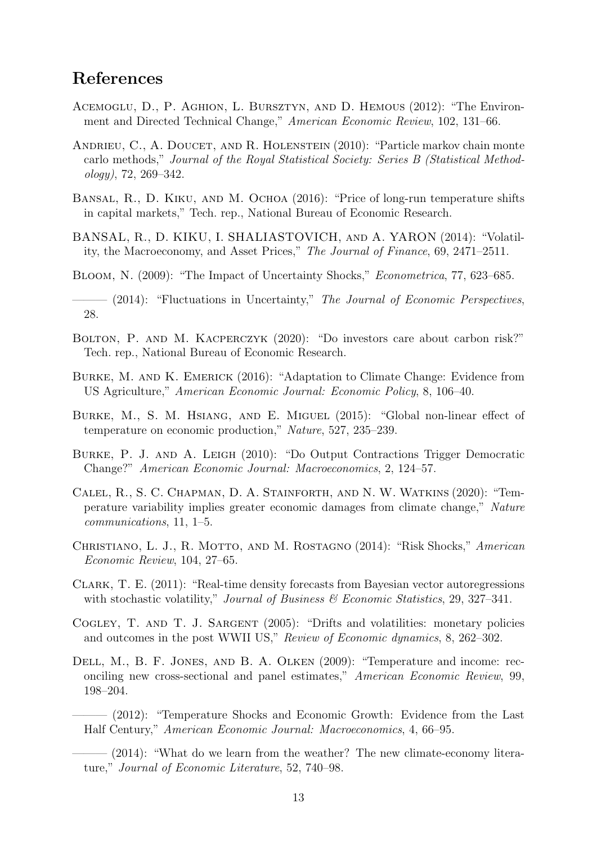# References

- <span id="page-13-4"></span>ACEMOGLU, D., P. AGHION, L. BURSZTYN, AND D. HEMOUS (2012): "The Environment and Directed Technical Change," American Economic Review, 102, 131–66.
- <span id="page-13-15"></span>ANDRIEU, C., A. DOUCET, AND R. HOLENSTEIN (2010): "Particle markov chain monte carlo methods," Journal of the Royal Statistical Society: Series B (Statistical Method- $\omega \log y$ , 72, 269–342.
- <span id="page-13-5"></span>Bansal, R., D. Kiku, and M. Ochoa (2016): "Price of long-run temperature shifts in capital markets," Tech. rep., National Bureau of Economic Research.
- <span id="page-13-9"></span>BANSAL, R., D. KIKU, I. SHALIASTOVICH, and A. YARON (2014): "Volatility, the Macroeconomy, and Asset Prices," The Journal of Finance, 69, 2471–2511.
- <span id="page-13-7"></span>BLOOM, N. (2009): "The Impact of Uncertainty Shocks," *Econometrica*, 77, 623–685.
- <span id="page-13-10"></span> $-$  (2014): "Fluctuations in Uncertainty," The Journal of Economic Perspectives, 28.
- <span id="page-13-6"></span>Bolton, P. and M. Kacperczyk (2020): "Do investors care about carbon risk?" Tech. rep., National Bureau of Economic Research.
- <span id="page-13-16"></span>Burke, M. and K. Emerick (2016): "Adaptation to Climate Change: Evidence from US Agriculture," American Economic Journal: Economic Policy, 8, 106–40.
- <span id="page-13-11"></span>Burke, M., S. M. Hsiang, and E. Miguel (2015): "Global non-linear effect of temperature on economic production," Nature, 527, 235–239.
- <span id="page-13-3"></span>Burke, P. J. and A. Leigh (2010): "Do Output Contractions Trigger Democratic Change?" American Economic Journal: Macroeconomics, 2, 124–57.
- <span id="page-13-12"></span>Calel, R., S. C. Chapman, D. A. Stainforth, and N. W. Watkins (2020): "Temperature variability implies greater economic damages from climate change," Nature communications, 11, 1–5.
- <span id="page-13-8"></span>CHRISTIANO, L. J., R. MOTTO, AND M. ROSTAGNO (2014): "Risk Shocks," American Economic Review, 104, 27–65.
- <span id="page-13-13"></span>Clark, T. E. (2011): "Real-time density forecasts from Bayesian vector autoregressions with stochastic volatility," Journal of Business  $\mathcal{B}$  Economic Statistics, 29, 327–341.
- <span id="page-13-14"></span>Cogley, T. and T. J. Sargent (2005): "Drifts and volatilities: monetary policies and outcomes in the post WWII US," Review of Economic dynamics, 8, 262–302.
- <span id="page-13-2"></span><span id="page-13-1"></span><span id="page-13-0"></span>Dell, M., B. F. Jones, and B. A. Olken (2009): "Temperature and income: reconciling new cross-sectional and panel estimates," American Economic Review, 99, 198–204.
	- ——— (2012): "Temperature Shocks and Economic Growth: Evidence from the Last Half Century," American Economic Journal: Macroeconomics, 4, 66–95.
	- $-$  (2014): "What do we learn from the weather? The new climate-economy literature," Journal of Economic Literature, 52, 740–98.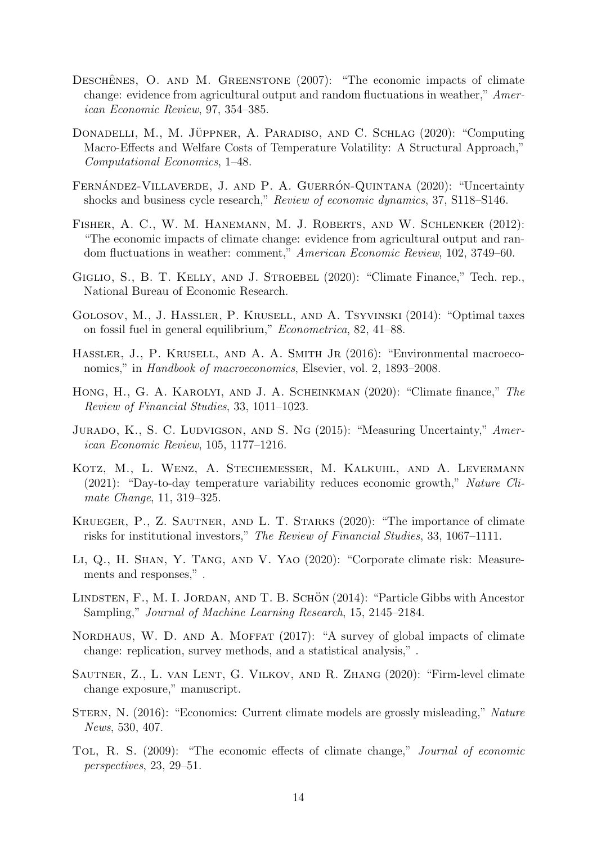- <span id="page-14-5"></span>DESCHÊNES, O. AND M. GREENSTONE  $(2007)$ : "The economic impacts of climate change: evidence from agricultural output and random fluctuations in weather," American Economic Review, 97, 354–385.
- <span id="page-14-7"></span>DONADELLI, M., M. JÜPPNER, A. PARADISO, AND C. SCHLAG (2020): "Computing Macro-Effects and Welfare Costs of Temperature Volatility: A Structural Approach," Computational Economics, 1–48.
- <span id="page-14-10"></span>FERNÁNDEZ-VILLAVERDE, J. AND P. A. GUERRÓN-QUINTANA (2020): "Uncertainty shocks and business cycle research," Review of economic dynamics, 37, S118–S146.
- <span id="page-14-6"></span>Fisher, A. C., W. M. Hanemann, M. J. Roberts, and W. Schlenker (2012): "The economic impacts of climate change: evidence from agricultural output and random fluctuations in weather: comment," American Economic Review, 102, 3749–60.
- <span id="page-14-12"></span>GIGLIO, S., B. T. KELLY, AND J. STROEBEL (2020): "Climate Finance," Tech. rep., National Bureau of Economic Research.
- <span id="page-14-3"></span>Golosov, M., J. Hassler, P. Krusell, and A. Tsyvinski (2014): "Optimal taxes on fossil fuel in general equilibrium," Econometrica, 82, 41–88.
- <span id="page-14-4"></span>Hassler, J., P. Krusell, and A. A. Smith Jr (2016): "Environmental macroeconomics," in Handbook of macroeconomics, Elsevier, vol. 2, 1893–2008.
- <span id="page-14-11"></span>Hong, H., G. A. Karolyi, and J. A. Scheinkman (2020): "Climate finance," The Review of Financial Studies, 33, 1011–1023.
- <span id="page-14-9"></span>JURADO, K., S. C. LUDVIGSON, AND S. NG (2015): "Measuring Uncertainty," American Economic Review, 105, 1177–1216.
- <span id="page-14-8"></span>Kotz, M., L. Wenz, A. Stechemesser, M. Kalkuhl, and A. Levermann (2021): "Day-to-day temperature variability reduces economic growth," Nature Climate Change, 11, 319–325.
- <span id="page-14-13"></span>KRUEGER, P., Z. SAUTNER, AND L. T. STARKS (2020): "The importance of climate risks for institutional investors," The Review of Financial Studies, 33, 1067–1111.
- <span id="page-14-15"></span>Li, Q., H. Shan, Y. Tang, and V. Yao (2020): "Corporate climate risk: Measurements and responses," .
- <span id="page-14-16"></span>LINDSTEN, F., M. I. JORDAN, AND T. B. SCHÖN  $(2014)$ : "Particle Gibbs with Ancestor Sampling," Journal of Machine Learning Research, 15, 2145–2184.
- <span id="page-14-1"></span>NORDHAUS, W. D. AND A. MOFFAT (2017): "A survey of global impacts of climate change: replication, survey methods, and a statistical analysis," .
- <span id="page-14-14"></span>Sautner, Z., L. van Lent, G. Vilkov, and R. Zhang (2020): "Firm-level climate change exposure," manuscript.
- <span id="page-14-2"></span>STERN, N. (2016): "Economics: Current climate models are grossly misleading," Nature News, 530, 407.
- <span id="page-14-0"></span>Tol, R. S. (2009): "The economic effects of climate change," Journal of economic perspectives, 23, 29–51.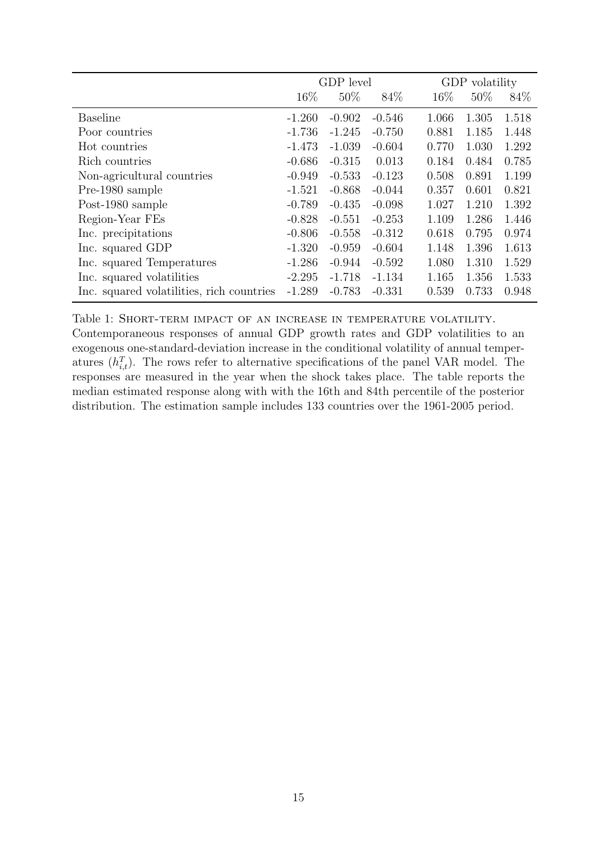<span id="page-15-0"></span>

|                                           | GDP level |          |          |        | GDP volatility |       |  |
|-------------------------------------------|-----------|----------|----------|--------|----------------|-------|--|
|                                           | 16\%      | $50\%$   | 84\%     | $16\%$ | $50\%$         | 84\%  |  |
| <b>Baseline</b>                           | $-1.260$  | $-0.902$ | $-0.546$ | 1.066  | 1.305          | 1.518 |  |
| Poor countries                            | $-1.736$  | $-1.245$ | $-0.750$ | 0.881  | 1.185          | 1.448 |  |
| Hot countries                             | $-1.473$  | $-1.039$ | $-0.604$ | 0.770  | 1.030          | 1.292 |  |
| Rich countries                            | $-0.686$  | $-0.315$ | 0.013    | 0.184  | 0.484          | 0.785 |  |
| Non-agricultural countries                | $-0.949$  | $-0.533$ | $-0.123$ | 0.508  | 0.891          | 1.199 |  |
| Pre-1980 sample                           | $-1.521$  | $-0.868$ | $-0.044$ | 0.357  | 0.601          | 0.821 |  |
| Post-1980 sample                          | $-0.789$  | $-0.435$ | $-0.098$ | 1.027  | 1.210          | 1.392 |  |
| Region-Year FEs                           | $-0.828$  | $-0.551$ | $-0.253$ | 1.109  | 1.286          | 1.446 |  |
| Inc. precipitations                       | $-0.806$  | $-0.558$ | $-0.312$ | 0.618  | 0.795          | 0.974 |  |
| Inc. squared GDP                          | $-1.320$  | $-0.959$ | $-0.604$ | 1.148  | 1.396          | 1.613 |  |
| Inc. squared Temperatures                 | $-1.286$  | $-0.944$ | $-0.592$ | 1.080  | 1.310          | 1.529 |  |
| Inc. squared volatilities                 | $-2.295$  | $-1.718$ | $-1.134$ | 1.165  | 1.356          | 1.533 |  |
| Inc. squared volatilities, rich countries | $-1.289$  | $-0.783$ | $-0.331$ | 0.539  | 0.733          | 0.948 |  |

Table 1: Short-term impact of an increase in temperature volatility. Contemporaneous responses of annual GDP growth rates and GDP volatilities to an exogenous one-standard-deviation increase in the conditional volatility of annual temperatures  $(h_{i,t}^T)$ . The rows refer to alternative specifications of the panel VAR model. The responses are measured in the year when the shock takes place. The table reports the median estimated response along with with the 16th and 84th percentile of the posterior distribution. The estimation sample includes 133 countries over the 1961-2005 period.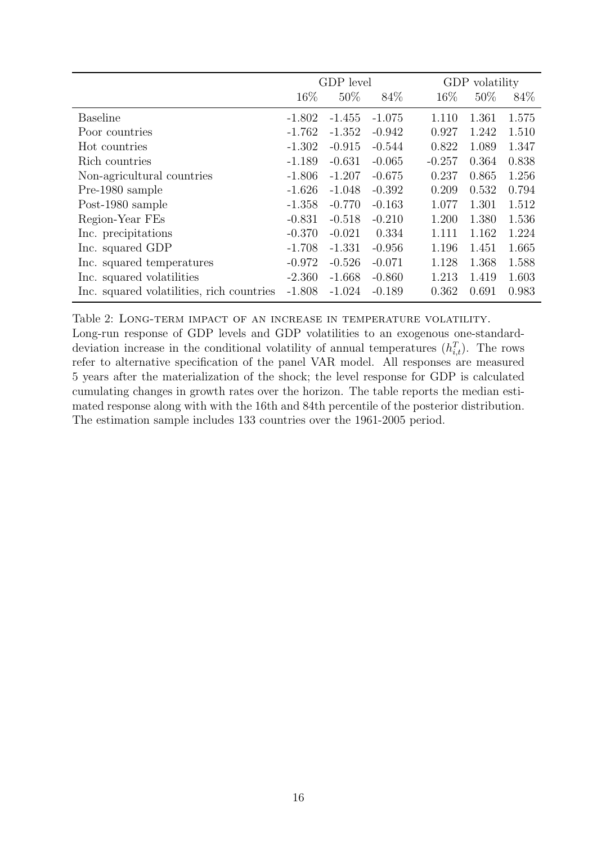<span id="page-16-0"></span>

|                                           | GDP level |          |          |          | <b>GDP</b><br>volatility |       |  |
|-------------------------------------------|-----------|----------|----------|----------|--------------------------|-------|--|
|                                           | $16\%$    | $50\%$   | 84\%     | 16\%     | 50%                      | 84\%  |  |
| <b>Baseline</b>                           | $-1.802$  | $-1.455$ | $-1.075$ | 1.110    | 1.361                    | 1.575 |  |
| Poor countries                            | $-1.762$  | $-1.352$ | $-0.942$ | 0.927    | 1.242                    | 1.510 |  |
| Hot countries                             | $-1.302$  | $-0.915$ | $-0.544$ | 0.822    | 1.089                    | 1.347 |  |
| Rich countries                            | $-1.189$  | $-0.631$ | $-0.065$ | $-0.257$ | 0.364                    | 0.838 |  |
| Non-agricultural countries                | $-1.806$  | $-1.207$ | $-0.675$ | 0.237    | 0.865                    | 1.256 |  |
| Pre-1980 sample                           | $-1.626$  | $-1.048$ | $-0.392$ | 0.209    | 0.532                    | 0.794 |  |
| Post-1980 sample                          | $-1.358$  | $-0.770$ | $-0.163$ | 1.077    | 1.301                    | 1.512 |  |
| Region-Year FEs                           | $-0.831$  | $-0.518$ | $-0.210$ | 1.200    | 1.380                    | 1.536 |  |
| Inc. precipitations                       | $-0.370$  | $-0.021$ | 0.334    | 1.111    | 1.162                    | 1.224 |  |
| Inc. squared GDP                          | $-1.708$  | $-1.331$ | $-0.956$ | 1.196    | 1.451                    | 1.665 |  |
| Inc. squared temperatures                 | $-0.972$  | $-0.526$ | $-0.071$ | 1.128    | 1.368                    | 1.588 |  |
| Inc. squared volatilities                 | $-2.360$  | $-1.668$ | $-0.860$ | 1.213    | 1.419                    | 1.603 |  |
| Inc. squared volatilities, rich countries | $-1.808$  | $-1.024$ | $-0.189$ | 0.362    | 0.691                    | 0.983 |  |

Table 2: Long-term impact of an increase in temperature volatility.

Long-run response of GDP levels and GDP volatilities to an exogenous one-standarddeviation increase in the conditional volatility of annual temperatures  $(h_{i,t}^T)$ . The rows refer to alternative specification of the panel VAR model. All responses are measured 5 years after the materialization of the shock; the level response for GDP is calculated cumulating changes in growth rates over the horizon. The table reports the median estimated response along with with the 16th and 84th percentile of the posterior distribution. The estimation sample includes 133 countries over the 1961-2005 period.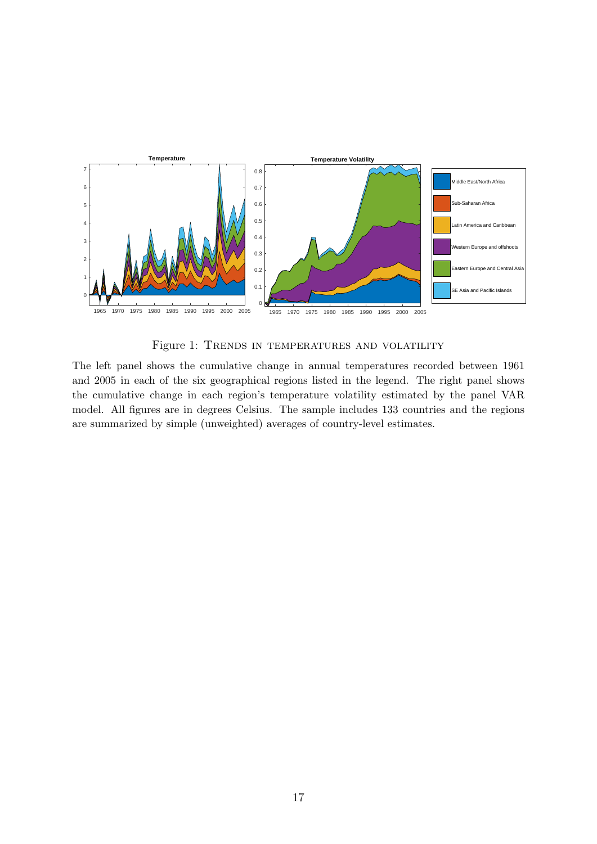<span id="page-17-0"></span>

Figure 1: TRENDS IN TEMPERATURES AND VOLATILITY

The left panel shows the cumulative change in annual temperatures recorded between 1961 and 2005 in each of the six geographical regions listed in the legend. The right panel shows the cumulative change in each region's temperature volatility estimated by the panel VAR model. All figures are in degrees Celsius. The sample includes 133 countries and the regions are summarized by simple (unweighted) averages of country-level estimates.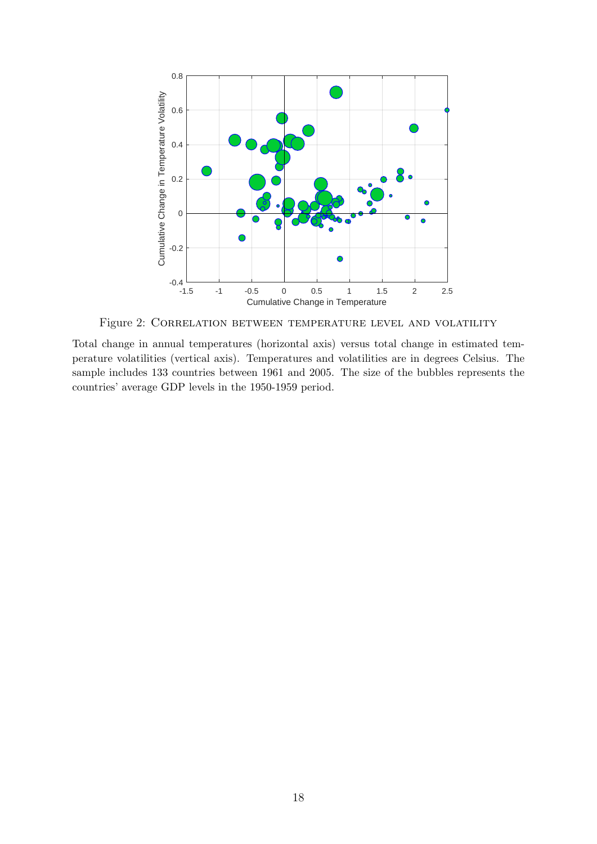<span id="page-18-0"></span>

Figure 2: Correlation between temperature level and volatility

Total change in annual temperatures (horizontal axis) versus total change in estimated temperature volatilities (vertical axis). Temperatures and volatilities are in degrees Celsius. The sample includes 133 countries between 1961 and 2005. The size of the bubbles represents the countries' average GDP levels in the 1950-1959 period.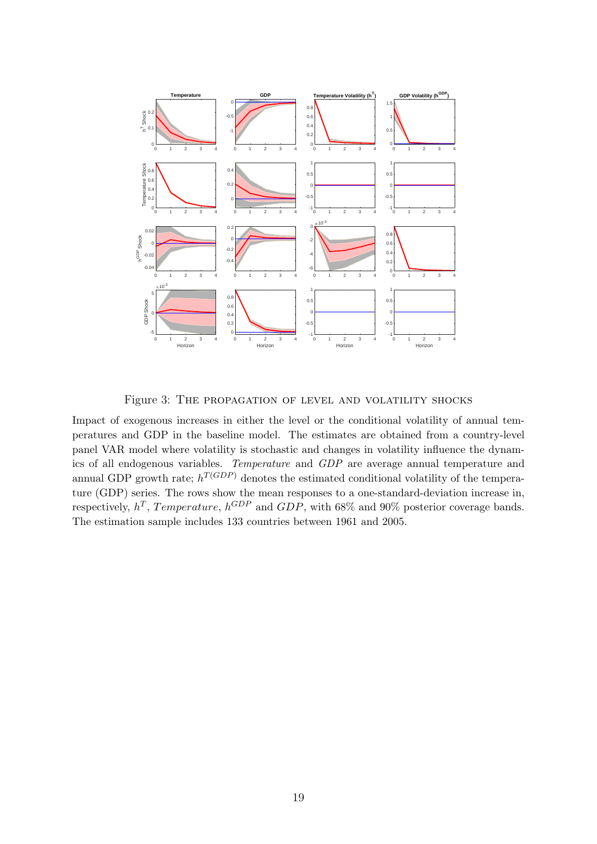<span id="page-19-0"></span>

Figure 3: THE PROPAGATION OF LEVEL AND VOLATILITY SHOCKS

Impact of exogenous increases in either the level or the conditional volatility of annual temperatures and GDP in the baseline model. The estimates are obtained from a country-level panel VAR model where volatility is stochastic and changes in volatility influence the dynamics of all endogenous variables. Temperature and GDP are average annual temperature and annual GDP growth rate;  $h^{T(GDP)}$  denotes the estimated conditional volatility of the temperature (GDP) series. The rows show the mean responses to a one-standard-deviation increase in, respectively,  $h^T$ , Temperature,  $h^{GDP}$  and  $GDP$ , with 68% and 90% posterior coverage bands. The estimation sample includes 133 countries between 1961 and 2005.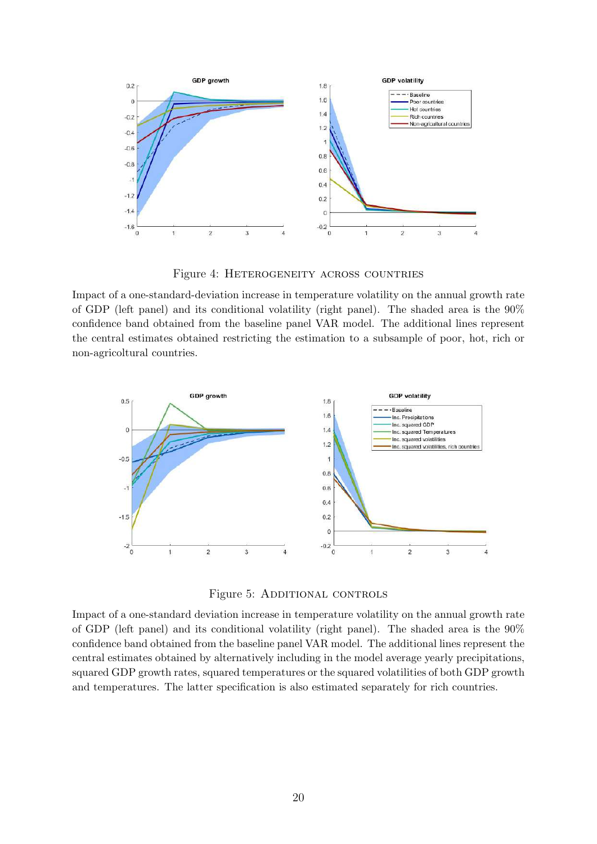<span id="page-20-0"></span>

Figure 4: Heterogeneity across countries

Impact of a one-standard-deviation increase in temperature volatility on the annual growth rate of GDP (left panel) and its conditional volatility (right panel). The shaded area is the  $90\%$ confidence band obtained from the baseline panel VAR model. The additional lines represent the central estimates obtained restricting the estimation to a subsample of poor, hot, rich or non-agricoltural countries.

<span id="page-20-1"></span>

Figure 5: ADDITIONAL CONTROLS

Impact of a one-standard deviation increase in temperature volatility on the annual growth rate of GDP (left panel) and its conditional volatility (right panel). The shaded area is the 90% confidence band obtained from the baseline panel VAR model. The additional lines represent the central estimates obtained by alternatively including in the model average yearly precipitations, squared GDP growth rates, squared temperatures or the squared volatilities of both GDP growth and temperatures. The latter specification is also estimated separately for rich countries.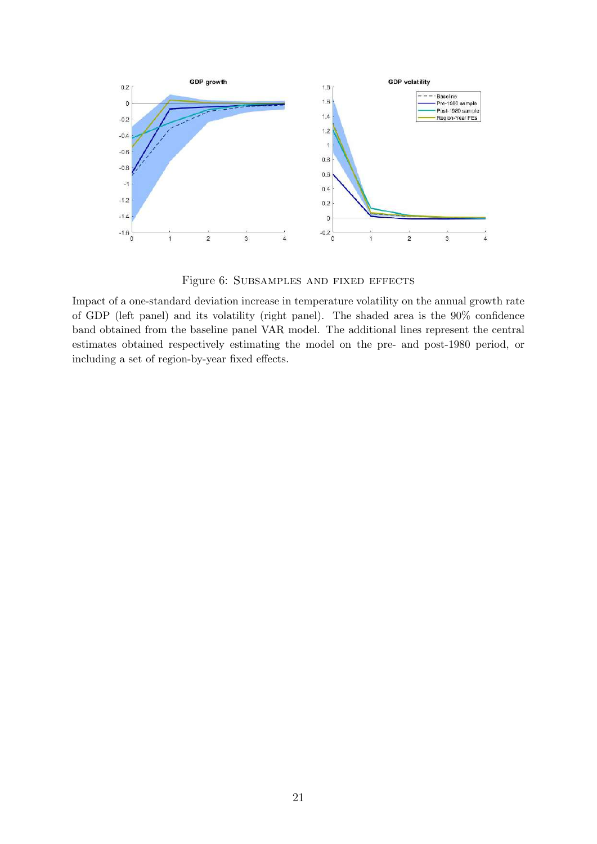<span id="page-21-0"></span>

Figure 6: SUBSAMPLES AND FIXED EFFECTS

Impact of a one-standard deviation increase in temperature volatility on the annual growth rate of GDP (left panel) and its volatility (right panel). The shaded area is the 90% confidence band obtained from the baseline panel VAR model. The additional lines represent the central estimates obtained respectively estimating the model on the pre- and post-1980 period, or including a set of region-by-year fixed effects.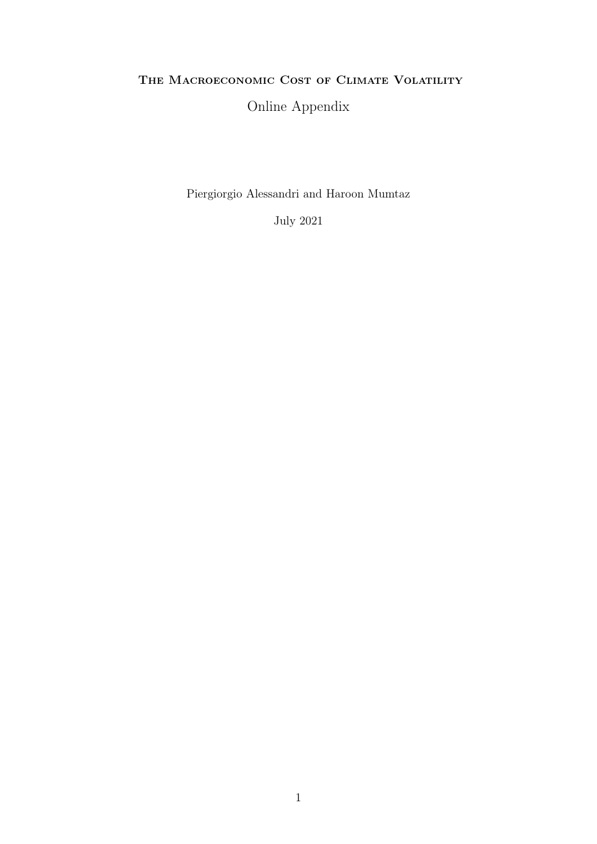## THE MACROECONOMIC COST OF CLIMATE VOLATILITY

# Online Appendix

Piergiorgio Alessandri and Haroon Mumtaz

July 2021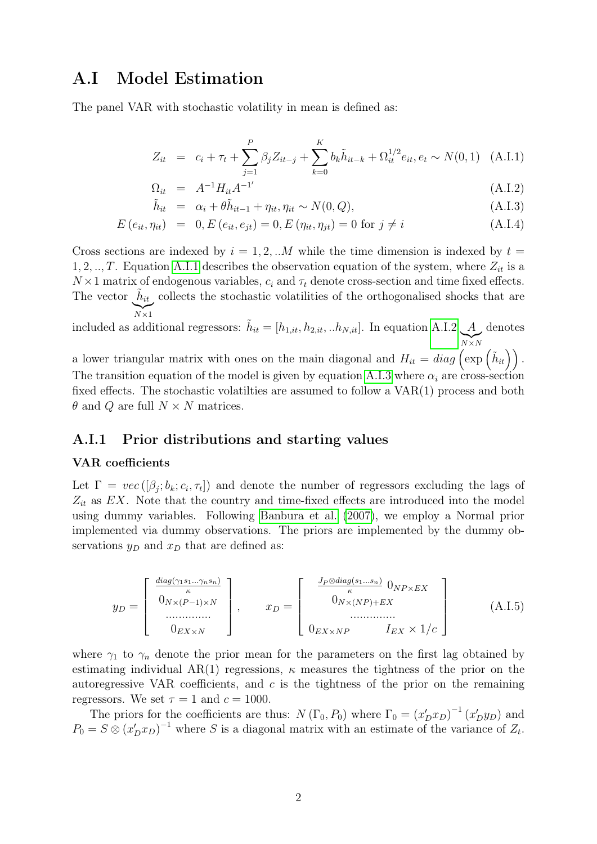# A.I Model Estimation

The panel VAR with stochastic volatility in mean is defined as:

$$
Z_{it} = c_i + \tau_t + \sum_{j=1}^{P} \beta_j Z_{it-j} + \sum_{k=0}^{K} b_k \tilde{h}_{it-k} + \Omega_{it}^{1/2} e_{it}, e_t \sim N(0, 1) \quad (A.I.1)
$$

<span id="page-23-0"></span>
$$
\Omega_{it} = A^{-1} H_{it} A^{-1'} \tag{A.I.2}
$$

$$
\tilde{h}_{it} = \alpha_i + \theta \tilde{h}_{it-1} + \eta_{it}, \eta_{it} \sim N(0, Q), \qquad (A.I.3)
$$

$$
E(e_{it}, \eta_{it}) = 0, E(e_{it}, e_{jt}) = 0, E(\eta_{it}, \eta_{jt}) = 0 \text{ for } j \neq i
$$
\n(A.I.4)

Cross sections are indexed by  $i = 1, 2, ...M$  while the time dimension is indexed by  $t =$ 1, 2, .., T. Equation [A.I.1](#page-23-0) describes the observation equation of the system, where  $Z_{it}$  is a  $N \times 1$  matrix of endogenous variables,  $c_i$  and  $\tau_t$  denote cross-section and time fixed effects. The vector  $\tilde{h}_{it}$ , collects the stochastic volatilities of the orthogonalised shocks that are

included as additional regressors:  $\tilde{h}_{it} = [h_{1,it}, h_{2,it}, ...h_{N,it}]$ . In equation [A.I.2](#page-23-0) A  $\sum_{N\times N}$ denotes

a lower triangular matrix with ones on the main diagonal and  $H_{it} = diag\left(\exp\left(\tilde{h}_{it}\right)\right)$ . The transition equation of the model is given by equation [A.I.3](#page-23-0) where  $\alpha_i$  are cross-section fixed effects. The stochastic volatilties are assumed to follow a VAR(1) process and both  $\theta$  and Q are full  $N \times N$  matrices.

### A.I.1 Prior distributions and starting values

#### VAR coefficients

Let  $\Gamma = vec([\beta_j; b_k; c_i, \tau_t])$  and denote the number of regressors excluding the lags of  $Z_{it}$  as  $EX$ . Note that the country and time-fixed effects are introduced into the model using dummy variables. Following [Banbura et al.](#page-32-0) [\(2007\)](#page-32-0), we employ a Normal prior implemented via dummy observations. The priors are implemented by the dummy observations  $y_D$  and  $x_D$  that are defined as:

$$
y_D = \begin{bmatrix} \frac{diag(\gamma_1 s_1 \dots \gamma_n s_n)}{\kappa} \\ 0_{N \times (P-1) \times N} \\ \dots \\ 0_{EX \times N} \end{bmatrix}, \qquad x_D = \begin{bmatrix} \frac{J_P \otimes diag(s_1 \dots s_n)}{\kappa} & 0_{NP \times EX} \\ 0_{N \times (NP) + EX} \\ \dots \\ 0_{EX \times NP} & I_{EX} \times 1/c \end{bmatrix}
$$
(A.I.5)

where  $\gamma_1$  to  $\gamma_n$  denote the prior mean for the parameters on the first lag obtained by estimating individual AR(1) regressions,  $\kappa$  measures the tightness of the prior on the autoregressive VAR coefficients, and  $c$  is the tightness of the prior on the remaining regressors. We set  $\tau = 1$  and  $c = 1000$ .

The priors for the coefficients are thus:  $N(\Gamma_0, P_0)$  where  $\Gamma_0 = (x'_D x_D)^{-1} (x'_D y_D)$  and  $P_0 = S \otimes (x'_D x_D)^{-1}$  where S is a diagonal matrix with an estimate of the variance of  $Z_t$ .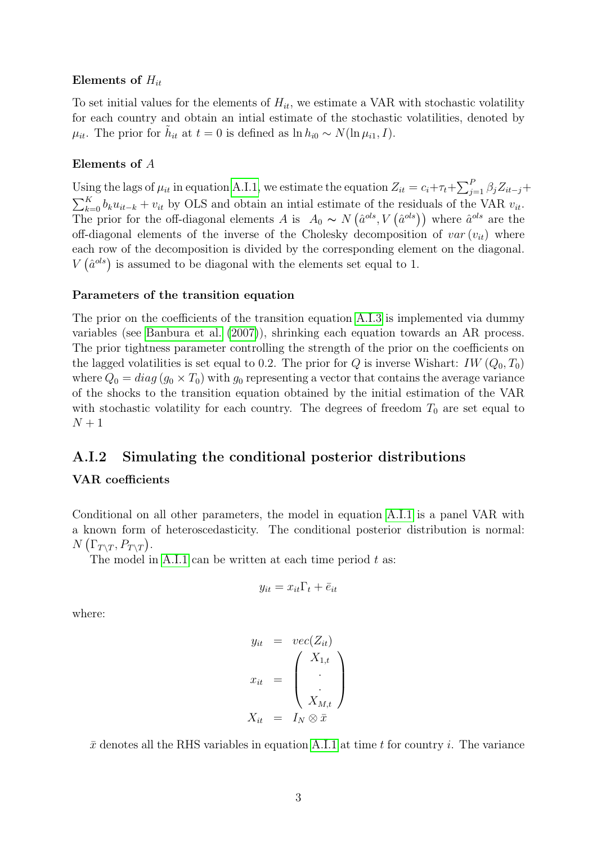### Elements of  $H_{it}$

To set initial values for the elements of  $H_{it}$ , we estimate a VAR with stochastic volatility for each country and obtain an intial estimate of the stochastic volatilities, denoted by  $\mu_{it}$ . The prior for  $\tilde{h}_{it}$  at  $t = 0$  is defined as  $\ln h_{i0} \sim N(\ln \mu_{i1}, I)$ .

### Elements of A

Using the lags of  $\mu_{it}$  in equation [A.I.1,](#page-23-0) we estimate the equation  $Z_{it} = c_i + \tau_t + \sum_{j=1}^P \beta_j Z_{it-j} +$  $\sum_{k=0}^{K} b_k u_{it-k} + v_{it}$  by OLS and obtain an intial estimate of the residuals of the VAR  $v_{it}$ . The prior for the off-diagonal elements A is  $A_0 \sim N(\hat{a}^{ols}, V(\hat{a}^{ols}))$  where  $\hat{a}^{ols}$  are the off-diagonal elements of the inverse of the Cholesky decomposition of  $var(v_{it})$  where each row of the decomposition is divided by the corresponding element on the diagonal.  $V(\hat{a}^{ols})$  is assumed to be diagonal with the elements set equal to 1.

#### Parameters of the transition equation

The prior on the coefficients of the transition equation [A.I.3](#page-23-0) is implemented via dummy variables (see [Banbura et al.](#page-32-0) [\(2007\)](#page-32-0)), shrinking each equation towards an AR process. The prior tightness parameter controlling the strength of the prior on the coefficients on the lagged volatilities is set equal to 0.2. The prior for Q is inverse Wishart:  $IW (Q_0, T_0)$ where  $Q_0 = diag(g_0 \times T_0)$  with  $g_0$  representing a vector that contains the average variance of the shocks to the transition equation obtained by the initial estimation of the VAR with stochastic volatility for each country. The degrees of freedom  $T_0$  are set equal to  $N+1$ 

## A.I.2 Simulating the conditional posterior distributions

### VAR coefficients

Conditional on all other parameters, the model in equation [A.I.1](#page-23-0) is a panel VAR with a known form of heteroscedasticity. The conditional posterior distribution is normal:  $N\left(\Gamma_{T\setminus T}, P_{T\setminus T}\right)$ .

The model in [A.I.1](#page-23-0) can be written at each time period  $t$  as:

$$
y_{it} = x_{it}\Gamma_t + \bar{e}_{it}
$$

where:

$$
y_{it} = vec(Z_{it})
$$
  

$$
x_{it} = \begin{pmatrix} X_{1,t} \\ \cdot \\ \cdot \\ X_{M,t} \end{pmatrix}
$$
  

$$
X_{it} = I_N \otimes \bar{x}
$$

 $\bar{x}$  denotes all the RHS variables in equation [A.I.1](#page-23-0) at time t for country i. The variance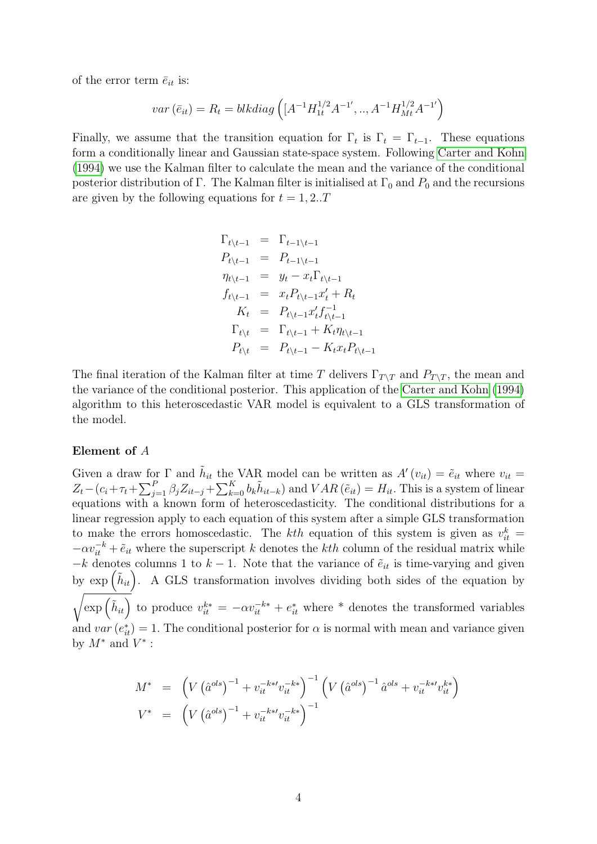of the error term  $\bar{e}_{it}$  is:

$$
var\left(\bar{e}_{it}\right) = R_{t} = blkdiag\left([A^{-1}H_{1t}^{1/2}A^{-1'}, ..., A^{-1}H_{Mt}^{1/2}A^{-1'}\right)
$$

Finally, we assume that the transition equation for  $\Gamma_t$  is  $\Gamma_t = \Gamma_{t-1}$ . These equations form a conditionally linear and Gaussian state-space system. Following [Carter and Kohn](#page-32-1) [\(1994\)](#page-32-1) we use the Kalman filter to calculate the mean and the variance of the conditional posterior distribution of Γ. The Kalman filter is initialised at  $\Gamma_0$  and  $P_0$  and the recursions are given by the following equations for  $t = 1, 2...T$ 

$$
\Gamma_{t\backslash t-1} = \Gamma_{t-1\backslash t-1} \n P_{t\backslash t-1} = P_{t-1\backslash t-1} \n \eta_{t\backslash t-1} = y_t - x_t \Gamma_{t\backslash t-1} \n f_{t\backslash t-1} = x_t P_{t\backslash t-1} x'_t + R_t \n K_t = P_{t\backslash t-1} x'_t f_{t\backslash t-1}^{-1} \n \Gamma_{t\backslash t} = \Gamma_{t\backslash t-1} + K_t \eta_{t\backslash t-1} \n P_{t\backslash t} = P_{t\backslash t-1} - K_t x_t P_{t\backslash t-1}
$$

The final iteration of the Kalman filter at time T delivers  $\Gamma_{T\setminus T}$  and  $P_{T\setminus T}$ , the mean and the variance of the conditional posterior. This application of the [Carter and Kohn](#page-32-1) [\(1994\)](#page-32-1) algorithm to this heteroscedastic VAR model is equivalent to a GLS transformation of the model.

#### Element of A

Given a draw for  $\Gamma$  and  $\tilde{h}_{it}$  the VAR model can be written as  $A'(v_{it}) = \tilde{e}_{it}$  where  $v_{it} =$  $Z_t - (c_i + \tau_t + \sum_{j=1}^P \beta_j Z_{it-j} + \sum_{k=0}^K b_k \tilde{h}_{it-k})$  and  $VAR(\tilde{e}_{it}) = H_{it}$ . This is a system of linear equations with a known form of heteroscedasticity. The conditional distributions for a linear regression apply to each equation of this system after a simple GLS transformation to make the errors homoscedastic. The kth equation of this system is given as  $v_{it}^k =$  $-\alpha v_{it}^{-k} + \tilde{e}_{it}$  where the superscript k denotes the kth column of the residual matrix while  $-k$  denotes columns 1 to  $k-1$ . Note that the variance of  $\tilde{e}_{it}$  is time-varying and given by  $\exp\left(\tilde{h}_{it}\right)$ . A GLS transformation involves dividing both sides of the equation by  $\sqrt{\exp\left(\tilde{h}_{it}\right)}$  to produce  $v_{it}^{k*} = -\alpha v_{it}^{-k*} + e_{it}^*$  where \* denotes the transformed variables and  $var(e_{it}^*) = 1$ . The conditional posterior for  $\alpha$  is normal with mean and variance given by  $M^*$  and  $V^*$  :

$$
M^* = \left( V \left( \hat{a}^{ols} \right)^{-1} + v_{it}^{-k*} v_{it}^{-k*} \right)^{-1} \left( V \left( \hat{a}^{ols} \right)^{-1} \hat{a}^{ols} + v_{it}^{-k*} v_{it}^{k*} \right)
$$
  

$$
V^* = \left( V \left( \hat{a}^{ols} \right)^{-1} + v_{it}^{-k*} v_{it}^{-k*} \right)^{-1}
$$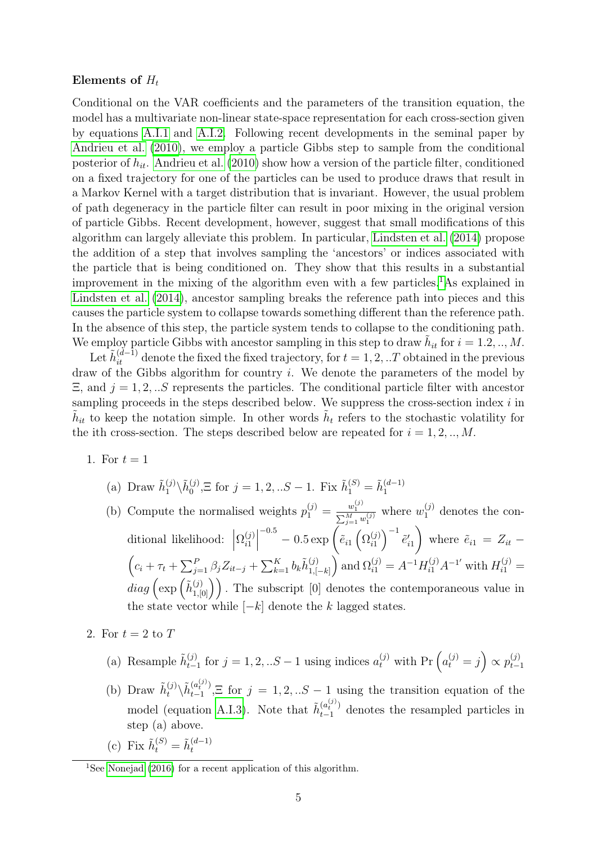#### Elements of  $H_t$

Conditional on the VAR coefficients and the parameters of the transition equation, the model has a multivariate non-linear state-space representation for each cross-section given by equations [A.I.1](#page-23-0) and [A.I.2.](#page-23-0) Following recent developments in the seminal paper by [Andrieu et al.](#page-32-2) [\(2010\)](#page-32-2), we employ a particle Gibbs step to sample from the conditional posterior of  $\tilde{h}_{it}$ . [Andrieu et al.](#page-32-2) [\(2010\)](#page-32-2) show how a version of the particle filter, conditioned on a fixed trajectory for one of the particles can be used to produce draws that result in a Markov Kernel with a target distribution that is invariant. However, the usual problem of path degeneracy in the particle filter can result in poor mixing in the original version of particle Gibbs. Recent development, however, suggest that small modifications of this algorithm can largely alleviate this problem. In particular, [Lindsten et al.](#page-32-3) [\(2014\)](#page-32-3) propose the addition of a step that involves sampling the 'ancestors' or indices associated with the particle that is being conditioned on. They show that this results in a substantial improvement in the mixing of the algorithm even with a few particles.[1](#page-26-0)As explained in [Lindsten et al.](#page-32-3) [\(2014\)](#page-32-3), ancestor sampling breaks the reference path into pieces and this causes the particle system to collapse towards something different than the reference path. In the absence of this step, the particle system tends to collapse to the conditioning path. We employ particle Gibbs with ancestor sampling in this step to draw  $\tilde{h}_{it}$  for  $i = 1.2, ..., M$ .

Let  $\tilde{h}^{(d-1)}_{it}$  denote the fixed the fixed trajectory, for  $t = 1, 2, ...T$  obtained in the previous draw of the Gibbs algorithm for country i. We denote the parameters of the model by  $\Xi$ , and  $j = 1, 2, ...$  represents the particles. The conditional particle filter with ancestor sampling proceeds in the steps described below. We suppress the cross-section index  $i$  in  $\tilde{h}_{it}$  to keep the notation simple. In other words  $\tilde{h}_{t}$  refers to the stochastic volatility for the ith cross-section. The steps described below are repeated for  $i = 1, 2, ..., M$ .

- 1. For  $t=1$ 
	- (a) Draw  $\tilde{h}_1^{(j)} \backslash \tilde{h}_0^{(j)}$  $\tilde{b}_0^{(j)}$ , $\Xi$  for  $j = 1, 2, ... S - 1$ . Fix  $\tilde{h}_1^{(S)} = \tilde{h}_1^{(d-1)}$ 1
	- (b) Compute the normalised weights  $p_1^{(j)} = \frac{w_1^{(j)}}{\sum_{j=1}^M w_1^{(j)}}$  where  $w_1^{(j)}$  denotes the con-1 ditional likelihood:  $\Big|$  $\Omega_{i1}^{(j)}$  $\begin{bmatrix} (j) \\ i1 \end{bmatrix}$  $^{-0.5} - 0.5 \exp\left(\tilde{e}_{i1}\left(\Omega_{i1}^{(j)}\right)\right)$  $\left(\begin{smallmatrix}j\i\end{smallmatrix}\right)^{-1}\tilde{e}'_{i1}$  $\setminus$ where  $\tilde{e}_{i1} = Z_{it}$  –  $(c_i + \tau_t + \sum_{j=1}^P \beta_j Z_{it-j} + \sum_{k=1}^K b_k \tilde{h}_{1, j}^{(j)}$  $\binom{(j)}{1,[-k]}$  and  $\Omega_{i1}^{(j)} = A^{-1}H_{i1}^{(j)}A^{-1'}$  with  $H_{i1}^{(j)} =$  $diag\left(\exp\left(\tilde{h}_{1,[0]}^{(j)}\right)\right)$ . The subscript [0] denotes the contemporaneous value in the state vector while  $[-k]$  denote the k lagged states.
- 2. For  $t = 2$  to  $T$ 
	- (a) Resample  $\tilde{h}_{t-}^{(j)}$  $t_{t-1}^{(j)}$  for  $j = 1, 2, ... S - 1$  using indices  $a_t^{(j)}$  with Pr  $\left(a_t^{(j)} = j\right) \propto p_{t-1}^{(j)}$  $t-1$
	- (b) Draw  $\tilde{h}_t^{(j)} \backslash \tilde{h}_{t-1}^{(a_t^{(j)})}$  $\binom{a_i^{(i)}}{t-1}$ ,  $\Xi$  for  $j = 1, 2, ... S - 1$  using the transition equation of the model (equation [A.I.3\)](#page-23-0). Note that  $\tilde{h}_{t-1}^{(a_t^{(j)})}$  denotes the resampled particles in step (a) above.
	- (c) Fix  $\tilde{h}_t^{(S)} = \tilde{h}_t^{(d-1)}$ t

<span id="page-26-0"></span><sup>&</sup>lt;sup>1</sup>See [Nonejad](#page-32-4) [\(2016\)](#page-32-4) for a recent application of this algorithm.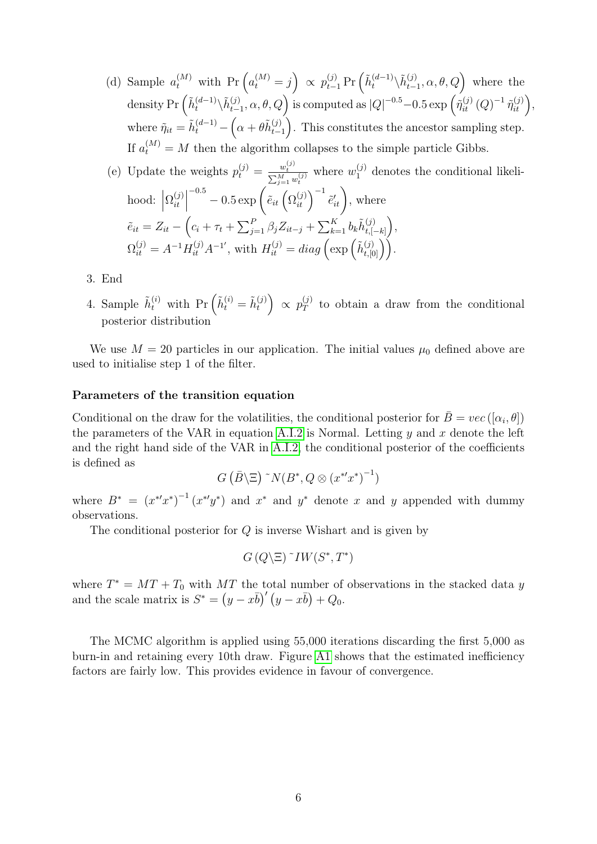(d) Sample  $a_t^{(M)}$  with  $\Pr\left(a_t^{(M)}=j\right) \propto p_{t-1}^{(j)} \Pr\left(\tilde{h}_t^{(d-1)} \setminus \tilde{h}_{t-1}^{(j)}\right)$  $_{t-1}^{(j)}, \alpha, \theta, Q$  where the density Pr  $\left(\tilde{h}_t^{(d-1)} \backslash \tilde{h}_{t-}^{(j)}\right)$  $\left(\begin{matrix} \hat{y} \end{matrix}\right)_{t=1}, \alpha, \theta, Q$  is computed as  $|Q|^{-0.5} - 0.5 \exp\left(\tilde{\eta}_{it}^{(j)}(Q)^{-1} \tilde{\eta}_{it}^{(j)}\right),$ where  $\tilde{\eta}_{it} = \tilde{h}_t^{(d-1)} - \left(\alpha + \theta \tilde{h}_{t-}^{(j)}\right)$  $_{t-1}^{(j)}$ ). This constitutes the ancestor sampling step. If  $a_t^{(M)} = M$  then the algorithm collapses to the simple particle Gibbs.

(e) Update the weights 
$$
p_t^{(j)} = \frac{w_t^{(j)}}{\sum_{j=1}^M w_t^{(j)}}
$$
 where  $w_1^{(j)}$  denotes the conditional likelihood:  $\left|\Omega_{it}^{(j)}\right|^{-0.5} - 0.5 \exp\left(\tilde{e}_{it} \left(\Omega_{it}^{(j)}\right)^{-1} \tilde{e}'_{it}\right)$ , where  $\tilde{e}_{it} = Z_{it} - \left(c_i + \tau_t + \sum_{j=1}^P \beta_j Z_{it-j} + \sum_{k=1}^K b_k \tilde{h}_{t, [-k]}^{(j)}\right)$ ,  $\Omega_{it}^{(j)} = A^{-1} H_{it}^{(j)} A^{-1}$ , with  $H_{it}^{(j)} = \text{diag}\left(\exp\left(\tilde{h}_{t, [0]}^{(j)}\right)\right)$ .

- 3. End
- 4. Sample  $\tilde{h}_t^{(i)}$  with  $\Pr\left(\tilde{h}_t^{(i)} = \tilde{h}_t^{(j)}\right)$  $p_T^{(j)}\big) \propto p_T^{(j)}$  $T<sub>T</sub><sup>(J)</sup>$  to obtain a draw from the conditional posterior distribution

We use  $M = 20$  particles in our application. The initial values  $\mu_0$  defined above are used to initialise step 1 of the filter.

#### Parameters of the transition equation

Conditional on the draw for the volatilities, the conditional posterior for  $\bar{B} = vec([\alpha_i, \theta])$ the parameters of the VAR in equation [A.I.2](#page-23-0) is Normal. Letting  $y$  and  $x$  denote the left and the right hand side of the VAR in [A.I.2,](#page-23-0) the conditional posterior of the coefficients is defined as

$$
G\left(\bar{B}\backslash \Xi\right)~^{\sim}N(B^*,Q\otimes (x^{*'}x^*)^{-1})
$$

where  $B^* = (x^{*'}x^{*})^{-1}(x^{*'}y^{*})$  and  $x^{*}$  and  $y^{*}$  denote x and y appended with dummy observations.

The conditional posterior for Q is inverse Wishart and is given by

$$
G(Q\backslash \Xi)^{\sim}IW(S^*,T^*)
$$

where  $T^* = MT + T_0$  with MT the total number of observations in the stacked data y and the scale matrix is  $S^* = (y - x\bar{b})'(y - x\bar{b}) + Q_0$ .

The MCMC algorithm is applied using 55,000 iterations discarding the first 5,000 as burn-in and retaining every 10th draw. Figure [A1](#page-28-0) shows that the estimated inefficiency factors are fairly low. This provides evidence in favour of convergence.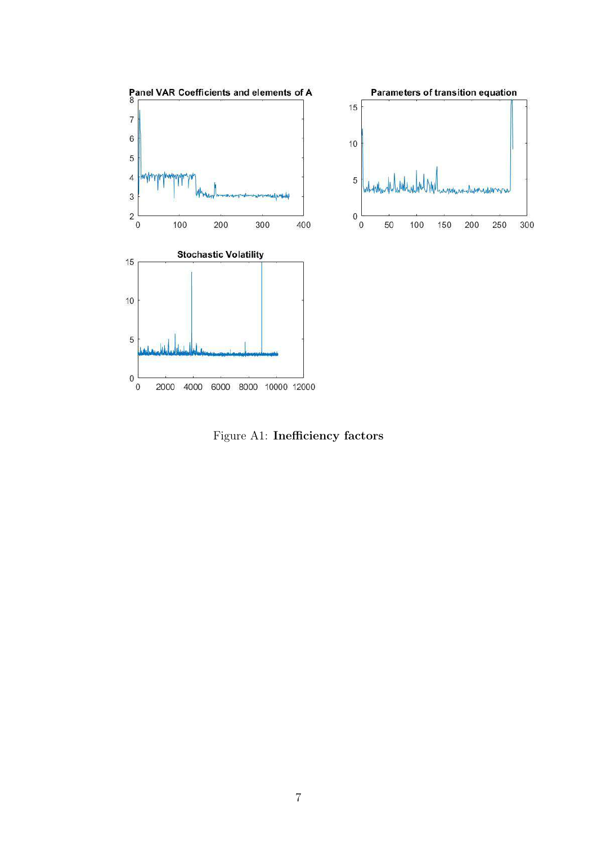

<span id="page-28-0"></span>Figure A1: Inefficiency factors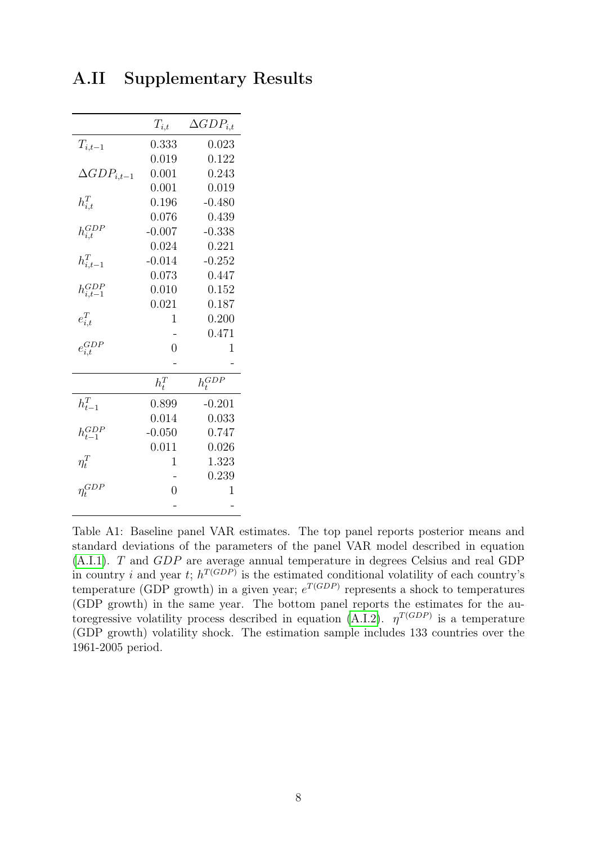|                      | $T_{i,t}$      | $\Delta GDP_{i,t}$ |
|----------------------|----------------|--------------------|
| $T_{i,t-1}$          | 0.333          | 0.023              |
|                      | 0.019          | 0.122              |
| $\Delta GDP_{i,t-1}$ | 0.001          | 0.243              |
|                      | 0.001          | 0.019              |
| $h_{i,t}^T$          | 0.196          | $-0.480$           |
|                      | 0.076          | 0.439              |
| $h_{i,t}^{GDP}$      | $-0.007$       | $-0.338$           |
|                      | 0.024          | 0.221              |
| $h_{i,t-1}^T$        | $-0.014$       | $-0.252$           |
|                      | 0.073          | 0.447              |
| $h^{GDP}_{i.t-1}$    | 0.010          | 0.152              |
|                      | 0.021          | 0.187              |
| $e_{i,t}^T$          | 1              | 0.200              |
|                      |                | 0.471              |
| $e_{i,t}^{GDP}$      | $\overline{0}$ | 1                  |
|                      |                |                    |
|                      | $h_t^T$        | $h_t^{GDP}$        |
| $h_{t-1}^T$          | 0.899          | $-0.201$           |
|                      | 0.014          | 0.033              |
| $h_{t-1}^{GDP}$      | $-0.050$       | 0.747              |
|                      | 0.011          | 0.026              |
| $\eta^T_t$           | 1              | 1.323              |
|                      |                | 0.239              |
| $\eta_t^{GDP}$       | $\overline{0}$ | $\overline{1}$     |
|                      |                |                    |

A.II Supplementary Results

Table A1: Baseline panel VAR estimates. The top panel reports posterior means and standard deviations of the parameters of the panel VAR model described in equation [\(A.I.1\)](#page-23-0). T and GDP are average annual temperature in degrees Celsius and real GDP in country *i* and year *t*;  $h^{T(GDP)}$  is the estimated conditional volatility of each country's temperature (GDP growth) in a given year;  $e^{T(GDP)}$  represents a shock to temperatures (GDP growth) in the same year. The bottom panel reports the estimates for the au-toregressive volatility process described in equation [\(A.I.2\)](#page-23-0).  $\eta^{T(GDP)}$  is a temperature (GDP growth) volatility shock. The estimation sample includes 133 countries over the 1961-2005 period.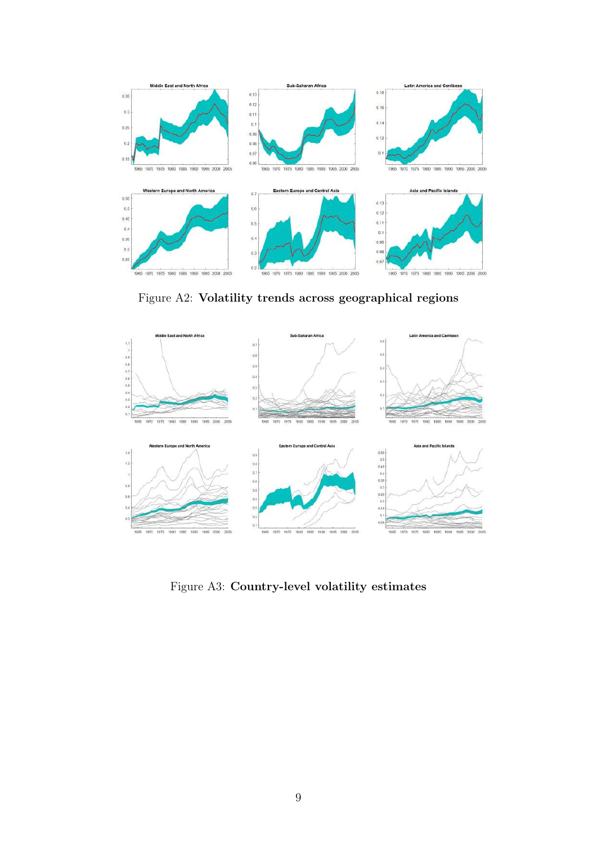

Figure A2: Volatility trends across geographical regions



Figure A3: Country-level volatility estimates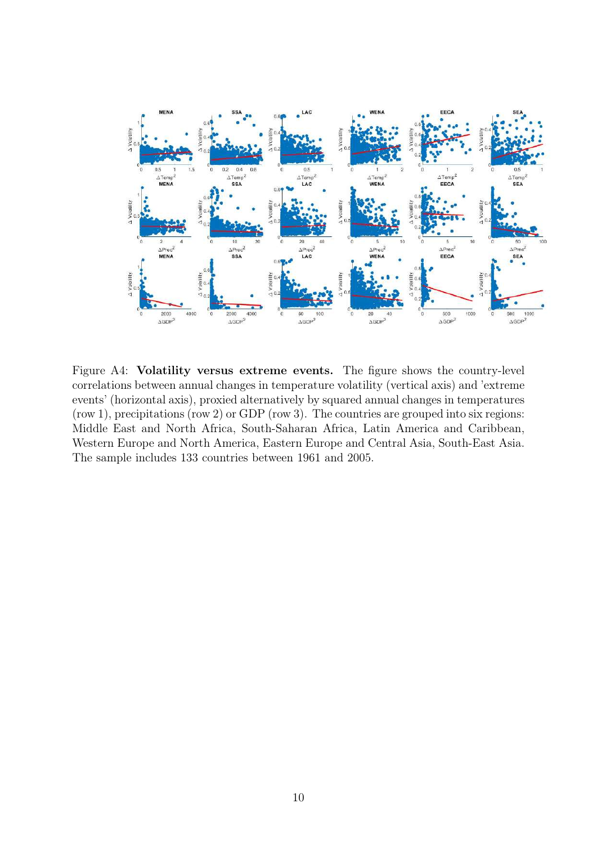

Figure A4: Volatility versus extreme events. The figure shows the country-level correlations between annual changes in temperature volatility (vertical axis) and 'extreme events' (horizontal axis), proxied alternatively by squared annual changes in temperatures (row 1), precipitations (row 2) or GDP (row 3). The countries are grouped into six regions: Middle East and North Africa, South-Saharan Africa, Latin America and Caribbean, Western Europe and North America, Eastern Europe and Central Asia, South-East Asia. The sample includes 133 countries between 1961 and 2005.